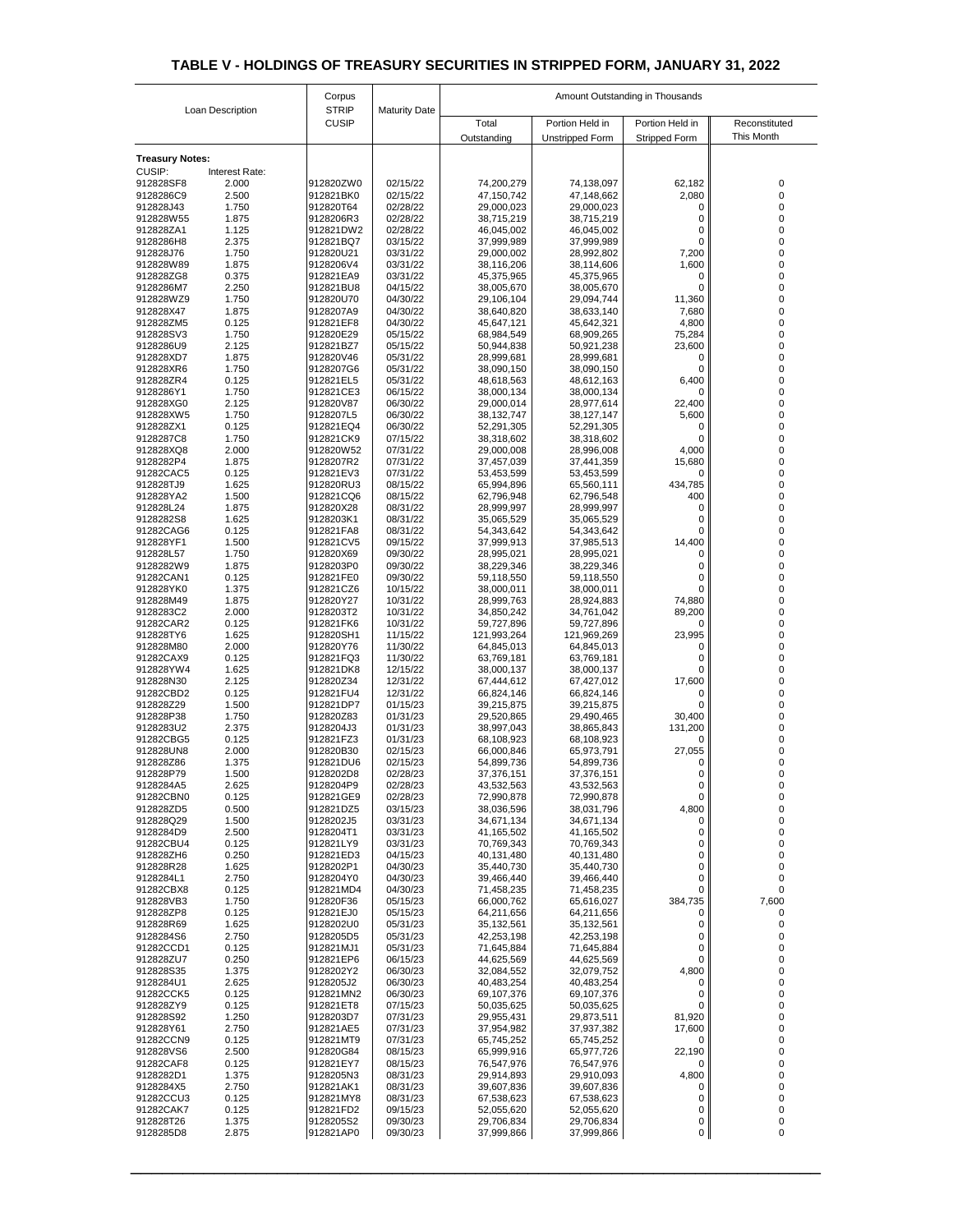| <b>CUSIP</b><br>Portion Held in<br>Portion Held in<br>Total<br>Reconstituted<br>This Month<br><b>Unstripped Form</b><br><b>Stripped Form</b><br>Outstanding<br><b>Treasury Notes:</b><br><b>CUSIP:</b><br>Interest Rate:<br>62,182<br>912828SF8<br>2.000<br>912820ZW0<br>02/15/22<br>74,200,279<br>74,138,097<br>0<br>2.500<br>9128286C9<br>912821BK0<br>02/15/22<br>2,080<br>47,150,742<br>47,148,662<br>1.750<br>02/28/22<br>912828J43<br>912820T64<br>29,000,023<br>29,000,023<br>0<br>02/28/22<br>1.875<br>9128206R3<br>38,715,219<br>38,715,219<br>912828W55<br>0<br>1.125<br>912828ZA1<br>912821DW2<br>02/28/22<br>46,045,002<br>46,045,002<br>0<br>2.375<br>912821BQ7<br>03/15/22<br>9128286H8<br>37,999,989<br>37,999,989<br>0<br>1.750<br>7,200<br>912828J76<br>912820U21<br>03/31/22<br>29,000,002<br>28,992,802<br>1.875<br>03/31/22<br>1,600<br>912828W89<br>9128206V4<br>38,116,206<br>38,114,606<br>912828ZG8<br>0.375<br>912821EA9<br>03/31/22<br>45,375,965<br>45,375,965<br>0<br>2.250<br>912821BU8<br>04/15/22<br>9128286M7<br>38,005,670<br>38,005,670<br>0<br>1.750<br>912820U70<br>11,360<br>912828WZ9<br>04/30/22<br>29,106,104<br>29,094,744<br>912828X47<br>1.875<br>9128207A9<br>04/30/22<br>38,640,820<br>7,680<br>38,633,140<br>0.125<br>912828ZM5<br>912821EF8<br>04/30/22<br>45,647,121<br>4,800<br>45,642,321<br>1.750<br>05/15/22<br>75,284<br>912828SV3<br>912820E29<br>68,984,549<br>68,909,265<br>2.125<br>9128286U9<br>912821BZ7<br>05/15/22<br>50,944,838<br>23,600<br>50,921,238<br>1.875<br>05/31/22<br>28,999,681<br>912828XD7<br>912820V46<br>28,999,681<br>0<br>912828XR6<br>1.750<br>9128207G6<br>05/31/22<br>38,090,150<br>38,090,150<br>0<br>0.125<br>6,400<br>912828ZR4<br>912821EL5<br>05/31/22<br>48,618,563<br>48,612,163<br>1.750<br>912821CE3<br>06/15/22<br>9128286Y1<br>38,000,134<br>38,000,134<br>0<br>2.125<br>912828XG0<br>912820V87<br>06/30/22<br>29,000,014<br>22,400<br>28,977,614<br>1.750<br>912828XW5<br>9128207L5<br>06/30/22<br>38, 132, 747<br>38,127,147<br>5,600<br>912828ZX1<br>0.125<br>912821EQ4<br>06/30/22<br>52,291,305<br>52,291,305<br>0<br>9128287C8<br>1.750<br>912821CK9<br>07/15/22<br>38,318,602<br>38,318,602<br>$\Omega$<br>07/31/22<br>29,000,008<br>28,996,008<br>4,000<br>912828XQ8<br>2.000<br>912820W52<br>$\Omega$<br>9128282P4<br>1.875<br>9128207R2<br>07/31/22<br>15,680<br>37,457,039<br>37,441,359<br>91282CAC5<br>0.125<br>912821EV3<br>07/31/22<br>53,453,599<br>53,453,599<br>0<br>1.625<br>912820RU3<br>08/15/22<br>434,785<br>912828TJ9<br>65,994,896<br>65,560,111<br>1.500<br>912828YA2<br>912821CQ6<br>08/15/22<br>400<br>62,796,948<br>62,796,548<br>1.875<br>912820X28<br>912828L24<br>08/31/22<br>28,999,997<br>28,999,997<br>Ω<br>9128282S8<br>1.625<br>9128203K1<br>08/31/22<br>35,065,529<br>35,065,529<br>0.125<br>91282CAG6<br>912821FA8<br>08/31/22<br>54,343,642<br>54,343,642<br>1.500<br>912821CV5<br>09/15/22<br>14,400<br>912828YF1<br>37,999,913<br>37,985,513<br>912828L57<br>1.750<br>912820X69<br>09/30/22<br>28,995,021<br>28,995,021<br>0<br>1.875<br>9128282W9<br>9128203P0<br>09/30/22<br>38,229,346<br>38,229,346<br>91282CAN1<br>0.125<br>912821FE0<br>09/30/22<br>59,118,550<br>59,118,550<br>912828YK0<br>1.375<br>912821CZ6<br>10/15/22<br>38,000,011<br>38,000,011<br>1.875<br>912820Y27<br>74,880<br>912828M49<br>10/31/22<br>28,999,763<br>28,924,883<br>2.000<br>9128283C2<br>9128203T2<br>10/31/22<br>89,200<br>34,850,242<br>34,761,042<br>0.125<br>91282CAR2<br>912821FK6<br>10/31/22<br>59,727,896<br>59,727,896<br>0<br>23,995<br>912828TY6<br>1.625<br>912820SH1<br>11/15/22<br>121,993,264<br>121,969,269<br>912828M80<br>2.000<br>912820Y76<br>11/30/22<br>64,845,013<br>64,845,013<br>0<br>0.125<br>912821FQ3<br>11/30/22<br>91282CAX9<br>63,769,181<br>63,769,181<br>1.625<br>912821DK8<br>12/15/22<br>38,000,137<br>38,000,137<br>912828YW4<br>0<br>2.125<br>17,600<br>912828N30<br>912820Z34<br>12/31/22<br>67,444,612<br>67,427,012<br>0.125<br>912821FU4<br>91282CBD2<br>12/31/22<br>66,824,146<br>66,824,146<br>$\Omega$<br>1.500<br>912821DP7<br>912828Z29<br>01/15/23<br>39,215,875<br>39,215,875<br>1.750<br>01/31/23<br>912828P38<br>912820Z83<br>29,520,865<br>29,490,465<br>30,400<br>9128283U2<br>2.375<br>9128204J3<br>01/31/23<br>38,997,043<br>38,865,843<br>131,200<br>91282CBG5<br>0.125<br>912821FZ3<br>01/31/23<br>68,108,923<br>68,108,923<br>0<br>2.000<br>912820B30<br>27,055<br>912828UN8<br>02/15/23<br>66,000,846<br>65,973,791<br>912828Z86<br>1.375<br>912821DU6<br>02/15/23<br>54,899,736<br>54,899,736<br>0<br>1.500<br>912828P79<br>9128202D8<br>02/28/23<br>37,376,151<br>37,376,151<br>02/28/23<br>9128284A5<br>2.625<br>9128204P9<br>43,532,563<br>43,532,563<br>91282CBN0<br>0.125<br>912821GE9<br>02/28/23<br>72,990,878<br>72,990,878<br>0<br>4,800<br>912828ZD5<br>0.500<br>912821DZ5<br>03/15/23<br>38,036,596<br>38,031,796<br>9128202J5<br>03/31/23<br>912828Q29<br>1.500<br>34,671,134<br>34,671,134<br>0<br>0<br>9128284D9<br>2.500<br>9128204T1<br>03/31/23<br>41,165,502<br>41,165,502<br>0<br>0.125<br>912821LY9<br>91282CBU4<br>03/31/23<br>70,769,343<br>70,769,343<br>0<br>912828ZH6<br>0.250<br>912821ED3<br>04/15/23<br>40,131,480<br>40,131,480<br>0<br>1.625<br>04/30/23<br>912828R28<br>9128202P1<br>35,440,730<br>35,440,730<br>0<br>9128284L1<br>2.750<br>9128204Y0<br>04/30/23<br>39,466,440<br>39,466,440<br>0<br>0.125<br>91282CBX8<br>912821MD4<br>04/30/23<br>71,458,235<br>71,458,235<br>0<br>1.750<br>912820F36<br>05/15/23<br>66,000,762<br>384,735<br>7,600<br>912828VB3<br>65,616,027<br>0.125<br>912828ZP8<br>912821EJ0<br>05/15/23<br>64,211,656<br>64,211,656<br>0<br>1.625<br>05/31/23<br>912828R69<br>9128202U0<br>35,132,561<br>35,132,561<br>$\Omega$<br>2.750<br>9128205D5<br>9128284S6<br>05/31/23<br>42,253,198<br>42,253,198<br>0<br>0.125<br>91282CCD1<br>912821MJ1<br>05/31/23<br>71,645,884<br>71,645,884<br>0<br>0.250<br>912828ZU7<br>912821EP6<br>06/15/23<br>44,625,569<br>44,625,569<br>0<br>4,800<br>912828S35<br>1.375<br>9128202Y2<br>06/30/23<br>32,084,552<br>32,079,752<br>2.625<br>9128284U1<br>9128205J2<br>06/30/23<br>40,483,254<br>40,483,254<br>0<br>0.125<br>91282CCK5<br>912821MN2<br>06/30/23<br>69,107,376<br>69,107,376<br>0.125<br>912828ZY9<br>912821ET8<br>07/15/23<br>50,035,625<br>50,035,625<br>0<br>1.250<br>81,920<br>912828S92<br>9128203D7<br>07/31/23<br>29,955,431<br>29,873,511<br>912828Y61<br>2.750<br>912821AE5<br>07/31/23<br>17,600<br>37,954,982<br>37,937,382<br>0.125<br>912821MT9<br>07/31/23<br>91282CCN9<br>65,745,252<br>65,745,252<br>0<br>2.500<br>912820G84<br>08/15/23<br>65,999,916<br>22,190<br>912828VS6<br>65,977,726<br>0.125<br>91282CAF8<br>912821EY7<br>08/15/23<br>76,547,976<br>76,547,976<br>0<br>1.375<br>08/31/23<br>4,800<br>9128282D1<br>9128205N3<br>29,914,893<br>29,910,093<br>9128284X5<br>2.750<br>912821AK1<br>08/31/23<br>39,607,836<br>39,607,836<br>0<br>0.125<br>91282CCU3<br>912821MY8<br>08/31/23<br>67,538,623<br>67,538,623<br>0<br>0.125<br>912821FD2<br>09/15/23<br>91282CAK7<br>52,055,620<br>52,055,620<br>0<br>912828T26<br>1.375<br>9128205S2<br>09/30/23<br>29,706,834<br>29,706,834<br>0<br>2.875<br>9128285D8<br>912821AP0<br>09/30/23<br>37,999,866<br>37,999,866<br>$\mathbf{0}$<br>0 | Loan Description |  | Corpus       | <b>Maturity Date</b> | Amount Outstanding in Thousands |  |  |  |  |
|----------------------------------------------------------------------------------------------------------------------------------------------------------------------------------------------------------------------------------------------------------------------------------------------------------------------------------------------------------------------------------------------------------------------------------------------------------------------------------------------------------------------------------------------------------------------------------------------------------------------------------------------------------------------------------------------------------------------------------------------------------------------------------------------------------------------------------------------------------------------------------------------------------------------------------------------------------------------------------------------------------------------------------------------------------------------------------------------------------------------------------------------------------------------------------------------------------------------------------------------------------------------------------------------------------------------------------------------------------------------------------------------------------------------------------------------------------------------------------------------------------------------------------------------------------------------------------------------------------------------------------------------------------------------------------------------------------------------------------------------------------------------------------------------------------------------------------------------------------------------------------------------------------------------------------------------------------------------------------------------------------------------------------------------------------------------------------------------------------------------------------------------------------------------------------------------------------------------------------------------------------------------------------------------------------------------------------------------------------------------------------------------------------------------------------------------------------------------------------------------------------------------------------------------------------------------------------------------------------------------------------------------------------------------------------------------------------------------------------------------------------------------------------------------------------------------------------------------------------------------------------------------------------------------------------------------------------------------------------------------------------------------------------------------------------------------------------------------------------------------------------------------------------------------------------------------------------------------------------------------------------------------------------------------------------------------------------------------------------------------------------------------------------------------------------------------------------------------------------------------------------------------------------------------------------------------------------------------------------------------------------------------------------------------------------------------------------------------------------------------------------------------------------------------------------------------------------------------------------------------------------------------------------------------------------------------------------------------------------------------------------------------------------------------------------------------------------------------------------------------------------------------------------------------------------------------------------------------------------------------------------------------------------------------------------------------------------------------------------------------------------------------------------------------------------------------------------------------------------------------------------------------------------------------------------------------------------------------------------------------------------------------------------------------------------------------------------------------------------------------------------------------------------------------------------------------------------------------------------------------------------------------------------------------------------------------------------------------------------------------------------------------------------------------------------------------------------------------------------------------------------------------------------------------------------------------------------------------------------------------------------------------------------------------------------------------------------------------------------------------------------------------------------------------------------------------------------------------------------------------------------------------------------------------------------------------------------------------------------------------------------------------------------------------------------------------------------------------------------------------------------------------------------------------------------------------------------------------------------------------------------------------------------------------------------------------------------------------------------------------------------------------------------------------------------------------------------------------------------------------------------------------------------------------------------------------------------------------------------------------------------------------------------------------------------------------------------------------------------------------------------------------------------------------------------------------------------------------------------------------------------------------------------------------------------------------------------------------------------------------------------------------------------------------------------------------------------------------------------------------------------------------------------------------------------------------------------------------------------------------------------------------------------------------------------------------------------------------------------------------------------------------------------------------------------------------------------------------------------------------------------------------------------------------------------------------------------------------------------------------------------------------------------------------------------------|------------------|--|--------------|----------------------|---------------------------------|--|--|--|--|
|                                                                                                                                                                                                                                                                                                                                                                                                                                                                                                                                                                                                                                                                                                                                                                                                                                                                                                                                                                                                                                                                                                                                                                                                                                                                                                                                                                                                                                                                                                                                                                                                                                                                                                                                                                                                                                                                                                                                                                                                                                                                                                                                                                                                                                                                                                                                                                                                                                                                                                                                                                                                                                                                                                                                                                                                                                                                                                                                                                                                                                                                                                                                                                                                                                                                                                                                                                                                                                                                                                                                                                                                                                                                                                                                                                                                                                                                                                                                                                                                                                                                                                                                                                                                                                                                                                                                                                                                                                                                                                                                                                                                                                                                                                                                                                                                                                                                                                                                                                                                                                                                                                                                                                                                                                                                                                                                                                                                                                                                                                                                                                                                                                                                                                                                                                                                                                                                                                                                                                                                                                                                                                                                                                                                                                                                                                                                                                                                                                                                                                                                                                                                                                                                                                                                                                                                                                                                                                                                                                                                                                                                                                                                                                                                                                                                                                                |                  |  | <b>STRIP</b> |                      |                                 |  |  |  |  |
|                                                                                                                                                                                                                                                                                                                                                                                                                                                                                                                                                                                                                                                                                                                                                                                                                                                                                                                                                                                                                                                                                                                                                                                                                                                                                                                                                                                                                                                                                                                                                                                                                                                                                                                                                                                                                                                                                                                                                                                                                                                                                                                                                                                                                                                                                                                                                                                                                                                                                                                                                                                                                                                                                                                                                                                                                                                                                                                                                                                                                                                                                                                                                                                                                                                                                                                                                                                                                                                                                                                                                                                                                                                                                                                                                                                                                                                                                                                                                                                                                                                                                                                                                                                                                                                                                                                                                                                                                                                                                                                                                                                                                                                                                                                                                                                                                                                                                                                                                                                                                                                                                                                                                                                                                                                                                                                                                                                                                                                                                                                                                                                                                                                                                                                                                                                                                                                                                                                                                                                                                                                                                                                                                                                                                                                                                                                                                                                                                                                                                                                                                                                                                                                                                                                                                                                                                                                                                                                                                                                                                                                                                                                                                                                                                                                                                                                |                  |  |              |                      |                                 |  |  |  |  |
|                                                                                                                                                                                                                                                                                                                                                                                                                                                                                                                                                                                                                                                                                                                                                                                                                                                                                                                                                                                                                                                                                                                                                                                                                                                                                                                                                                                                                                                                                                                                                                                                                                                                                                                                                                                                                                                                                                                                                                                                                                                                                                                                                                                                                                                                                                                                                                                                                                                                                                                                                                                                                                                                                                                                                                                                                                                                                                                                                                                                                                                                                                                                                                                                                                                                                                                                                                                                                                                                                                                                                                                                                                                                                                                                                                                                                                                                                                                                                                                                                                                                                                                                                                                                                                                                                                                                                                                                                                                                                                                                                                                                                                                                                                                                                                                                                                                                                                                                                                                                                                                                                                                                                                                                                                                                                                                                                                                                                                                                                                                                                                                                                                                                                                                                                                                                                                                                                                                                                                                                                                                                                                                                                                                                                                                                                                                                                                                                                                                                                                                                                                                                                                                                                                                                                                                                                                                                                                                                                                                                                                                                                                                                                                                                                                                                                                                |                  |  |              |                      |                                 |  |  |  |  |
|                                                                                                                                                                                                                                                                                                                                                                                                                                                                                                                                                                                                                                                                                                                                                                                                                                                                                                                                                                                                                                                                                                                                                                                                                                                                                                                                                                                                                                                                                                                                                                                                                                                                                                                                                                                                                                                                                                                                                                                                                                                                                                                                                                                                                                                                                                                                                                                                                                                                                                                                                                                                                                                                                                                                                                                                                                                                                                                                                                                                                                                                                                                                                                                                                                                                                                                                                                                                                                                                                                                                                                                                                                                                                                                                                                                                                                                                                                                                                                                                                                                                                                                                                                                                                                                                                                                                                                                                                                                                                                                                                                                                                                                                                                                                                                                                                                                                                                                                                                                                                                                                                                                                                                                                                                                                                                                                                                                                                                                                                                                                                                                                                                                                                                                                                                                                                                                                                                                                                                                                                                                                                                                                                                                                                                                                                                                                                                                                                                                                                                                                                                                                                                                                                                                                                                                                                                                                                                                                                                                                                                                                                                                                                                                                                                                                                                                |                  |  |              |                      |                                 |  |  |  |  |
|                                                                                                                                                                                                                                                                                                                                                                                                                                                                                                                                                                                                                                                                                                                                                                                                                                                                                                                                                                                                                                                                                                                                                                                                                                                                                                                                                                                                                                                                                                                                                                                                                                                                                                                                                                                                                                                                                                                                                                                                                                                                                                                                                                                                                                                                                                                                                                                                                                                                                                                                                                                                                                                                                                                                                                                                                                                                                                                                                                                                                                                                                                                                                                                                                                                                                                                                                                                                                                                                                                                                                                                                                                                                                                                                                                                                                                                                                                                                                                                                                                                                                                                                                                                                                                                                                                                                                                                                                                                                                                                                                                                                                                                                                                                                                                                                                                                                                                                                                                                                                                                                                                                                                                                                                                                                                                                                                                                                                                                                                                                                                                                                                                                                                                                                                                                                                                                                                                                                                                                                                                                                                                                                                                                                                                                                                                                                                                                                                                                                                                                                                                                                                                                                                                                                                                                                                                                                                                                                                                                                                                                                                                                                                                                                                                                                                                                |                  |  |              |                      |                                 |  |  |  |  |
|                                                                                                                                                                                                                                                                                                                                                                                                                                                                                                                                                                                                                                                                                                                                                                                                                                                                                                                                                                                                                                                                                                                                                                                                                                                                                                                                                                                                                                                                                                                                                                                                                                                                                                                                                                                                                                                                                                                                                                                                                                                                                                                                                                                                                                                                                                                                                                                                                                                                                                                                                                                                                                                                                                                                                                                                                                                                                                                                                                                                                                                                                                                                                                                                                                                                                                                                                                                                                                                                                                                                                                                                                                                                                                                                                                                                                                                                                                                                                                                                                                                                                                                                                                                                                                                                                                                                                                                                                                                                                                                                                                                                                                                                                                                                                                                                                                                                                                                                                                                                                                                                                                                                                                                                                                                                                                                                                                                                                                                                                                                                                                                                                                                                                                                                                                                                                                                                                                                                                                                                                                                                                                                                                                                                                                                                                                                                                                                                                                                                                                                                                                                                                                                                                                                                                                                                                                                                                                                                                                                                                                                                                                                                                                                                                                                                                                                |                  |  |              |                      |                                 |  |  |  |  |
|                                                                                                                                                                                                                                                                                                                                                                                                                                                                                                                                                                                                                                                                                                                                                                                                                                                                                                                                                                                                                                                                                                                                                                                                                                                                                                                                                                                                                                                                                                                                                                                                                                                                                                                                                                                                                                                                                                                                                                                                                                                                                                                                                                                                                                                                                                                                                                                                                                                                                                                                                                                                                                                                                                                                                                                                                                                                                                                                                                                                                                                                                                                                                                                                                                                                                                                                                                                                                                                                                                                                                                                                                                                                                                                                                                                                                                                                                                                                                                                                                                                                                                                                                                                                                                                                                                                                                                                                                                                                                                                                                                                                                                                                                                                                                                                                                                                                                                                                                                                                                                                                                                                                                                                                                                                                                                                                                                                                                                                                                                                                                                                                                                                                                                                                                                                                                                                                                                                                                                                                                                                                                                                                                                                                                                                                                                                                                                                                                                                                                                                                                                                                                                                                                                                                                                                                                                                                                                                                                                                                                                                                                                                                                                                                                                                                                                                |                  |  |              |                      |                                 |  |  |  |  |
|                                                                                                                                                                                                                                                                                                                                                                                                                                                                                                                                                                                                                                                                                                                                                                                                                                                                                                                                                                                                                                                                                                                                                                                                                                                                                                                                                                                                                                                                                                                                                                                                                                                                                                                                                                                                                                                                                                                                                                                                                                                                                                                                                                                                                                                                                                                                                                                                                                                                                                                                                                                                                                                                                                                                                                                                                                                                                                                                                                                                                                                                                                                                                                                                                                                                                                                                                                                                                                                                                                                                                                                                                                                                                                                                                                                                                                                                                                                                                                                                                                                                                                                                                                                                                                                                                                                                                                                                                                                                                                                                                                                                                                                                                                                                                                                                                                                                                                                                                                                                                                                                                                                                                                                                                                                                                                                                                                                                                                                                                                                                                                                                                                                                                                                                                                                                                                                                                                                                                                                                                                                                                                                                                                                                                                                                                                                                                                                                                                                                                                                                                                                                                                                                                                                                                                                                                                                                                                                                                                                                                                                                                                                                                                                                                                                                                                                |                  |  |              |                      |                                 |  |  |  |  |
|                                                                                                                                                                                                                                                                                                                                                                                                                                                                                                                                                                                                                                                                                                                                                                                                                                                                                                                                                                                                                                                                                                                                                                                                                                                                                                                                                                                                                                                                                                                                                                                                                                                                                                                                                                                                                                                                                                                                                                                                                                                                                                                                                                                                                                                                                                                                                                                                                                                                                                                                                                                                                                                                                                                                                                                                                                                                                                                                                                                                                                                                                                                                                                                                                                                                                                                                                                                                                                                                                                                                                                                                                                                                                                                                                                                                                                                                                                                                                                                                                                                                                                                                                                                                                                                                                                                                                                                                                                                                                                                                                                                                                                                                                                                                                                                                                                                                                                                                                                                                                                                                                                                                                                                                                                                                                                                                                                                                                                                                                                                                                                                                                                                                                                                                                                                                                                                                                                                                                                                                                                                                                                                                                                                                                                                                                                                                                                                                                                                                                                                                                                                                                                                                                                                                                                                                                                                                                                                                                                                                                                                                                                                                                                                                                                                                                                                |                  |  |              |                      |                                 |  |  |  |  |
|                                                                                                                                                                                                                                                                                                                                                                                                                                                                                                                                                                                                                                                                                                                                                                                                                                                                                                                                                                                                                                                                                                                                                                                                                                                                                                                                                                                                                                                                                                                                                                                                                                                                                                                                                                                                                                                                                                                                                                                                                                                                                                                                                                                                                                                                                                                                                                                                                                                                                                                                                                                                                                                                                                                                                                                                                                                                                                                                                                                                                                                                                                                                                                                                                                                                                                                                                                                                                                                                                                                                                                                                                                                                                                                                                                                                                                                                                                                                                                                                                                                                                                                                                                                                                                                                                                                                                                                                                                                                                                                                                                                                                                                                                                                                                                                                                                                                                                                                                                                                                                                                                                                                                                                                                                                                                                                                                                                                                                                                                                                                                                                                                                                                                                                                                                                                                                                                                                                                                                                                                                                                                                                                                                                                                                                                                                                                                                                                                                                                                                                                                                                                                                                                                                                                                                                                                                                                                                                                                                                                                                                                                                                                                                                                                                                                                                                |                  |  |              |                      |                                 |  |  |  |  |
|                                                                                                                                                                                                                                                                                                                                                                                                                                                                                                                                                                                                                                                                                                                                                                                                                                                                                                                                                                                                                                                                                                                                                                                                                                                                                                                                                                                                                                                                                                                                                                                                                                                                                                                                                                                                                                                                                                                                                                                                                                                                                                                                                                                                                                                                                                                                                                                                                                                                                                                                                                                                                                                                                                                                                                                                                                                                                                                                                                                                                                                                                                                                                                                                                                                                                                                                                                                                                                                                                                                                                                                                                                                                                                                                                                                                                                                                                                                                                                                                                                                                                                                                                                                                                                                                                                                                                                                                                                                                                                                                                                                                                                                                                                                                                                                                                                                                                                                                                                                                                                                                                                                                                                                                                                                                                                                                                                                                                                                                                                                                                                                                                                                                                                                                                                                                                                                                                                                                                                                                                                                                                                                                                                                                                                                                                                                                                                                                                                                                                                                                                                                                                                                                                                                                                                                                                                                                                                                                                                                                                                                                                                                                                                                                                                                                                                                |                  |  |              |                      |                                 |  |  |  |  |
|                                                                                                                                                                                                                                                                                                                                                                                                                                                                                                                                                                                                                                                                                                                                                                                                                                                                                                                                                                                                                                                                                                                                                                                                                                                                                                                                                                                                                                                                                                                                                                                                                                                                                                                                                                                                                                                                                                                                                                                                                                                                                                                                                                                                                                                                                                                                                                                                                                                                                                                                                                                                                                                                                                                                                                                                                                                                                                                                                                                                                                                                                                                                                                                                                                                                                                                                                                                                                                                                                                                                                                                                                                                                                                                                                                                                                                                                                                                                                                                                                                                                                                                                                                                                                                                                                                                                                                                                                                                                                                                                                                                                                                                                                                                                                                                                                                                                                                                                                                                                                                                                                                                                                                                                                                                                                                                                                                                                                                                                                                                                                                                                                                                                                                                                                                                                                                                                                                                                                                                                                                                                                                                                                                                                                                                                                                                                                                                                                                                                                                                                                                                                                                                                                                                                                                                                                                                                                                                                                                                                                                                                                                                                                                                                                                                                                                                |                  |  |              |                      |                                 |  |  |  |  |
|                                                                                                                                                                                                                                                                                                                                                                                                                                                                                                                                                                                                                                                                                                                                                                                                                                                                                                                                                                                                                                                                                                                                                                                                                                                                                                                                                                                                                                                                                                                                                                                                                                                                                                                                                                                                                                                                                                                                                                                                                                                                                                                                                                                                                                                                                                                                                                                                                                                                                                                                                                                                                                                                                                                                                                                                                                                                                                                                                                                                                                                                                                                                                                                                                                                                                                                                                                                                                                                                                                                                                                                                                                                                                                                                                                                                                                                                                                                                                                                                                                                                                                                                                                                                                                                                                                                                                                                                                                                                                                                                                                                                                                                                                                                                                                                                                                                                                                                                                                                                                                                                                                                                                                                                                                                                                                                                                                                                                                                                                                                                                                                                                                                                                                                                                                                                                                                                                                                                                                                                                                                                                                                                                                                                                                                                                                                                                                                                                                                                                                                                                                                                                                                                                                                                                                                                                                                                                                                                                                                                                                                                                                                                                                                                                                                                                                                |                  |  |              |                      |                                 |  |  |  |  |
|                                                                                                                                                                                                                                                                                                                                                                                                                                                                                                                                                                                                                                                                                                                                                                                                                                                                                                                                                                                                                                                                                                                                                                                                                                                                                                                                                                                                                                                                                                                                                                                                                                                                                                                                                                                                                                                                                                                                                                                                                                                                                                                                                                                                                                                                                                                                                                                                                                                                                                                                                                                                                                                                                                                                                                                                                                                                                                                                                                                                                                                                                                                                                                                                                                                                                                                                                                                                                                                                                                                                                                                                                                                                                                                                                                                                                                                                                                                                                                                                                                                                                                                                                                                                                                                                                                                                                                                                                                                                                                                                                                                                                                                                                                                                                                                                                                                                                                                                                                                                                                                                                                                                                                                                                                                                                                                                                                                                                                                                                                                                                                                                                                                                                                                                                                                                                                                                                                                                                                                                                                                                                                                                                                                                                                                                                                                                                                                                                                                                                                                                                                                                                                                                                                                                                                                                                                                                                                                                                                                                                                                                                                                                                                                                                                                                                                                |                  |  |              |                      |                                 |  |  |  |  |
|                                                                                                                                                                                                                                                                                                                                                                                                                                                                                                                                                                                                                                                                                                                                                                                                                                                                                                                                                                                                                                                                                                                                                                                                                                                                                                                                                                                                                                                                                                                                                                                                                                                                                                                                                                                                                                                                                                                                                                                                                                                                                                                                                                                                                                                                                                                                                                                                                                                                                                                                                                                                                                                                                                                                                                                                                                                                                                                                                                                                                                                                                                                                                                                                                                                                                                                                                                                                                                                                                                                                                                                                                                                                                                                                                                                                                                                                                                                                                                                                                                                                                                                                                                                                                                                                                                                                                                                                                                                                                                                                                                                                                                                                                                                                                                                                                                                                                                                                                                                                                                                                                                                                                                                                                                                                                                                                                                                                                                                                                                                                                                                                                                                                                                                                                                                                                                                                                                                                                                                                                                                                                                                                                                                                                                                                                                                                                                                                                                                                                                                                                                                                                                                                                                                                                                                                                                                                                                                                                                                                                                                                                                                                                                                                                                                                                                                |                  |  |              |                      |                                 |  |  |  |  |
|                                                                                                                                                                                                                                                                                                                                                                                                                                                                                                                                                                                                                                                                                                                                                                                                                                                                                                                                                                                                                                                                                                                                                                                                                                                                                                                                                                                                                                                                                                                                                                                                                                                                                                                                                                                                                                                                                                                                                                                                                                                                                                                                                                                                                                                                                                                                                                                                                                                                                                                                                                                                                                                                                                                                                                                                                                                                                                                                                                                                                                                                                                                                                                                                                                                                                                                                                                                                                                                                                                                                                                                                                                                                                                                                                                                                                                                                                                                                                                                                                                                                                                                                                                                                                                                                                                                                                                                                                                                                                                                                                                                                                                                                                                                                                                                                                                                                                                                                                                                                                                                                                                                                                                                                                                                                                                                                                                                                                                                                                                                                                                                                                                                                                                                                                                                                                                                                                                                                                                                                                                                                                                                                                                                                                                                                                                                                                                                                                                                                                                                                                                                                                                                                                                                                                                                                                                                                                                                                                                                                                                                                                                                                                                                                                                                                                                                |                  |  |              |                      |                                 |  |  |  |  |
|                                                                                                                                                                                                                                                                                                                                                                                                                                                                                                                                                                                                                                                                                                                                                                                                                                                                                                                                                                                                                                                                                                                                                                                                                                                                                                                                                                                                                                                                                                                                                                                                                                                                                                                                                                                                                                                                                                                                                                                                                                                                                                                                                                                                                                                                                                                                                                                                                                                                                                                                                                                                                                                                                                                                                                                                                                                                                                                                                                                                                                                                                                                                                                                                                                                                                                                                                                                                                                                                                                                                                                                                                                                                                                                                                                                                                                                                                                                                                                                                                                                                                                                                                                                                                                                                                                                                                                                                                                                                                                                                                                                                                                                                                                                                                                                                                                                                                                                                                                                                                                                                                                                                                                                                                                                                                                                                                                                                                                                                                                                                                                                                                                                                                                                                                                                                                                                                                                                                                                                                                                                                                                                                                                                                                                                                                                                                                                                                                                                                                                                                                                                                                                                                                                                                                                                                                                                                                                                                                                                                                                                                                                                                                                                                                                                                                                                |                  |  |              |                      |                                 |  |  |  |  |
|                                                                                                                                                                                                                                                                                                                                                                                                                                                                                                                                                                                                                                                                                                                                                                                                                                                                                                                                                                                                                                                                                                                                                                                                                                                                                                                                                                                                                                                                                                                                                                                                                                                                                                                                                                                                                                                                                                                                                                                                                                                                                                                                                                                                                                                                                                                                                                                                                                                                                                                                                                                                                                                                                                                                                                                                                                                                                                                                                                                                                                                                                                                                                                                                                                                                                                                                                                                                                                                                                                                                                                                                                                                                                                                                                                                                                                                                                                                                                                                                                                                                                                                                                                                                                                                                                                                                                                                                                                                                                                                                                                                                                                                                                                                                                                                                                                                                                                                                                                                                                                                                                                                                                                                                                                                                                                                                                                                                                                                                                                                                                                                                                                                                                                                                                                                                                                                                                                                                                                                                                                                                                                                                                                                                                                                                                                                                                                                                                                                                                                                                                                                                                                                                                                                                                                                                                                                                                                                                                                                                                                                                                                                                                                                                                                                                                                                |                  |  |              |                      |                                 |  |  |  |  |
|                                                                                                                                                                                                                                                                                                                                                                                                                                                                                                                                                                                                                                                                                                                                                                                                                                                                                                                                                                                                                                                                                                                                                                                                                                                                                                                                                                                                                                                                                                                                                                                                                                                                                                                                                                                                                                                                                                                                                                                                                                                                                                                                                                                                                                                                                                                                                                                                                                                                                                                                                                                                                                                                                                                                                                                                                                                                                                                                                                                                                                                                                                                                                                                                                                                                                                                                                                                                                                                                                                                                                                                                                                                                                                                                                                                                                                                                                                                                                                                                                                                                                                                                                                                                                                                                                                                                                                                                                                                                                                                                                                                                                                                                                                                                                                                                                                                                                                                                                                                                                                                                                                                                                                                                                                                                                                                                                                                                                                                                                                                                                                                                                                                                                                                                                                                                                                                                                                                                                                                                                                                                                                                                                                                                                                                                                                                                                                                                                                                                                                                                                                                                                                                                                                                                                                                                                                                                                                                                                                                                                                                                                                                                                                                                                                                                                                                |                  |  |              |                      |                                 |  |  |  |  |
|                                                                                                                                                                                                                                                                                                                                                                                                                                                                                                                                                                                                                                                                                                                                                                                                                                                                                                                                                                                                                                                                                                                                                                                                                                                                                                                                                                                                                                                                                                                                                                                                                                                                                                                                                                                                                                                                                                                                                                                                                                                                                                                                                                                                                                                                                                                                                                                                                                                                                                                                                                                                                                                                                                                                                                                                                                                                                                                                                                                                                                                                                                                                                                                                                                                                                                                                                                                                                                                                                                                                                                                                                                                                                                                                                                                                                                                                                                                                                                                                                                                                                                                                                                                                                                                                                                                                                                                                                                                                                                                                                                                                                                                                                                                                                                                                                                                                                                                                                                                                                                                                                                                                                                                                                                                                                                                                                                                                                                                                                                                                                                                                                                                                                                                                                                                                                                                                                                                                                                                                                                                                                                                                                                                                                                                                                                                                                                                                                                                                                                                                                                                                                                                                                                                                                                                                                                                                                                                                                                                                                                                                                                                                                                                                                                                                                                                |                  |  |              |                      |                                 |  |  |  |  |
|                                                                                                                                                                                                                                                                                                                                                                                                                                                                                                                                                                                                                                                                                                                                                                                                                                                                                                                                                                                                                                                                                                                                                                                                                                                                                                                                                                                                                                                                                                                                                                                                                                                                                                                                                                                                                                                                                                                                                                                                                                                                                                                                                                                                                                                                                                                                                                                                                                                                                                                                                                                                                                                                                                                                                                                                                                                                                                                                                                                                                                                                                                                                                                                                                                                                                                                                                                                                                                                                                                                                                                                                                                                                                                                                                                                                                                                                                                                                                                                                                                                                                                                                                                                                                                                                                                                                                                                                                                                                                                                                                                                                                                                                                                                                                                                                                                                                                                                                                                                                                                                                                                                                                                                                                                                                                                                                                                                                                                                                                                                                                                                                                                                                                                                                                                                                                                                                                                                                                                                                                                                                                                                                                                                                                                                                                                                                                                                                                                                                                                                                                                                                                                                                                                                                                                                                                                                                                                                                                                                                                                                                                                                                                                                                                                                                                                                |                  |  |              |                      |                                 |  |  |  |  |
|                                                                                                                                                                                                                                                                                                                                                                                                                                                                                                                                                                                                                                                                                                                                                                                                                                                                                                                                                                                                                                                                                                                                                                                                                                                                                                                                                                                                                                                                                                                                                                                                                                                                                                                                                                                                                                                                                                                                                                                                                                                                                                                                                                                                                                                                                                                                                                                                                                                                                                                                                                                                                                                                                                                                                                                                                                                                                                                                                                                                                                                                                                                                                                                                                                                                                                                                                                                                                                                                                                                                                                                                                                                                                                                                                                                                                                                                                                                                                                                                                                                                                                                                                                                                                                                                                                                                                                                                                                                                                                                                                                                                                                                                                                                                                                                                                                                                                                                                                                                                                                                                                                                                                                                                                                                                                                                                                                                                                                                                                                                                                                                                                                                                                                                                                                                                                                                                                                                                                                                                                                                                                                                                                                                                                                                                                                                                                                                                                                                                                                                                                                                                                                                                                                                                                                                                                                                                                                                                                                                                                                                                                                                                                                                                                                                                                                                |                  |  |              |                      |                                 |  |  |  |  |
|                                                                                                                                                                                                                                                                                                                                                                                                                                                                                                                                                                                                                                                                                                                                                                                                                                                                                                                                                                                                                                                                                                                                                                                                                                                                                                                                                                                                                                                                                                                                                                                                                                                                                                                                                                                                                                                                                                                                                                                                                                                                                                                                                                                                                                                                                                                                                                                                                                                                                                                                                                                                                                                                                                                                                                                                                                                                                                                                                                                                                                                                                                                                                                                                                                                                                                                                                                                                                                                                                                                                                                                                                                                                                                                                                                                                                                                                                                                                                                                                                                                                                                                                                                                                                                                                                                                                                                                                                                                                                                                                                                                                                                                                                                                                                                                                                                                                                                                                                                                                                                                                                                                                                                                                                                                                                                                                                                                                                                                                                                                                                                                                                                                                                                                                                                                                                                                                                                                                                                                                                                                                                                                                                                                                                                                                                                                                                                                                                                                                                                                                                                                                                                                                                                                                                                                                                                                                                                                                                                                                                                                                                                                                                                                                                                                                                                                |                  |  |              |                      |                                 |  |  |  |  |
|                                                                                                                                                                                                                                                                                                                                                                                                                                                                                                                                                                                                                                                                                                                                                                                                                                                                                                                                                                                                                                                                                                                                                                                                                                                                                                                                                                                                                                                                                                                                                                                                                                                                                                                                                                                                                                                                                                                                                                                                                                                                                                                                                                                                                                                                                                                                                                                                                                                                                                                                                                                                                                                                                                                                                                                                                                                                                                                                                                                                                                                                                                                                                                                                                                                                                                                                                                                                                                                                                                                                                                                                                                                                                                                                                                                                                                                                                                                                                                                                                                                                                                                                                                                                                                                                                                                                                                                                                                                                                                                                                                                                                                                                                                                                                                                                                                                                                                                                                                                                                                                                                                                                                                                                                                                                                                                                                                                                                                                                                                                                                                                                                                                                                                                                                                                                                                                                                                                                                                                                                                                                                                                                                                                                                                                                                                                                                                                                                                                                                                                                                                                                                                                                                                                                                                                                                                                                                                                                                                                                                                                                                                                                                                                                                                                                                                                |                  |  |              |                      |                                 |  |  |  |  |
|                                                                                                                                                                                                                                                                                                                                                                                                                                                                                                                                                                                                                                                                                                                                                                                                                                                                                                                                                                                                                                                                                                                                                                                                                                                                                                                                                                                                                                                                                                                                                                                                                                                                                                                                                                                                                                                                                                                                                                                                                                                                                                                                                                                                                                                                                                                                                                                                                                                                                                                                                                                                                                                                                                                                                                                                                                                                                                                                                                                                                                                                                                                                                                                                                                                                                                                                                                                                                                                                                                                                                                                                                                                                                                                                                                                                                                                                                                                                                                                                                                                                                                                                                                                                                                                                                                                                                                                                                                                                                                                                                                                                                                                                                                                                                                                                                                                                                                                                                                                                                                                                                                                                                                                                                                                                                                                                                                                                                                                                                                                                                                                                                                                                                                                                                                                                                                                                                                                                                                                                                                                                                                                                                                                                                                                                                                                                                                                                                                                                                                                                                                                                                                                                                                                                                                                                                                                                                                                                                                                                                                                                                                                                                                                                                                                                                                                |                  |  |              |                      |                                 |  |  |  |  |
|                                                                                                                                                                                                                                                                                                                                                                                                                                                                                                                                                                                                                                                                                                                                                                                                                                                                                                                                                                                                                                                                                                                                                                                                                                                                                                                                                                                                                                                                                                                                                                                                                                                                                                                                                                                                                                                                                                                                                                                                                                                                                                                                                                                                                                                                                                                                                                                                                                                                                                                                                                                                                                                                                                                                                                                                                                                                                                                                                                                                                                                                                                                                                                                                                                                                                                                                                                                                                                                                                                                                                                                                                                                                                                                                                                                                                                                                                                                                                                                                                                                                                                                                                                                                                                                                                                                                                                                                                                                                                                                                                                                                                                                                                                                                                                                                                                                                                                                                                                                                                                                                                                                                                                                                                                                                                                                                                                                                                                                                                                                                                                                                                                                                                                                                                                                                                                                                                                                                                                                                                                                                                                                                                                                                                                                                                                                                                                                                                                                                                                                                                                                                                                                                                                                                                                                                                                                                                                                                                                                                                                                                                                                                                                                                                                                                                                                |                  |  |              |                      |                                 |  |  |  |  |
|                                                                                                                                                                                                                                                                                                                                                                                                                                                                                                                                                                                                                                                                                                                                                                                                                                                                                                                                                                                                                                                                                                                                                                                                                                                                                                                                                                                                                                                                                                                                                                                                                                                                                                                                                                                                                                                                                                                                                                                                                                                                                                                                                                                                                                                                                                                                                                                                                                                                                                                                                                                                                                                                                                                                                                                                                                                                                                                                                                                                                                                                                                                                                                                                                                                                                                                                                                                                                                                                                                                                                                                                                                                                                                                                                                                                                                                                                                                                                                                                                                                                                                                                                                                                                                                                                                                                                                                                                                                                                                                                                                                                                                                                                                                                                                                                                                                                                                                                                                                                                                                                                                                                                                                                                                                                                                                                                                                                                                                                                                                                                                                                                                                                                                                                                                                                                                                                                                                                                                                                                                                                                                                                                                                                                                                                                                                                                                                                                                                                                                                                                                                                                                                                                                                                                                                                                                                                                                                                                                                                                                                                                                                                                                                                                                                                                                                |                  |  |              |                      |                                 |  |  |  |  |
|                                                                                                                                                                                                                                                                                                                                                                                                                                                                                                                                                                                                                                                                                                                                                                                                                                                                                                                                                                                                                                                                                                                                                                                                                                                                                                                                                                                                                                                                                                                                                                                                                                                                                                                                                                                                                                                                                                                                                                                                                                                                                                                                                                                                                                                                                                                                                                                                                                                                                                                                                                                                                                                                                                                                                                                                                                                                                                                                                                                                                                                                                                                                                                                                                                                                                                                                                                                                                                                                                                                                                                                                                                                                                                                                                                                                                                                                                                                                                                                                                                                                                                                                                                                                                                                                                                                                                                                                                                                                                                                                                                                                                                                                                                                                                                                                                                                                                                                                                                                                                                                                                                                                                                                                                                                                                                                                                                                                                                                                                                                                                                                                                                                                                                                                                                                                                                                                                                                                                                                                                                                                                                                                                                                                                                                                                                                                                                                                                                                                                                                                                                                                                                                                                                                                                                                                                                                                                                                                                                                                                                                                                                                                                                                                                                                                                                                |                  |  |              |                      |                                 |  |  |  |  |
|                                                                                                                                                                                                                                                                                                                                                                                                                                                                                                                                                                                                                                                                                                                                                                                                                                                                                                                                                                                                                                                                                                                                                                                                                                                                                                                                                                                                                                                                                                                                                                                                                                                                                                                                                                                                                                                                                                                                                                                                                                                                                                                                                                                                                                                                                                                                                                                                                                                                                                                                                                                                                                                                                                                                                                                                                                                                                                                                                                                                                                                                                                                                                                                                                                                                                                                                                                                                                                                                                                                                                                                                                                                                                                                                                                                                                                                                                                                                                                                                                                                                                                                                                                                                                                                                                                                                                                                                                                                                                                                                                                                                                                                                                                                                                                                                                                                                                                                                                                                                                                                                                                                                                                                                                                                                                                                                                                                                                                                                                                                                                                                                                                                                                                                                                                                                                                                                                                                                                                                                                                                                                                                                                                                                                                                                                                                                                                                                                                                                                                                                                                                                                                                                                                                                                                                                                                                                                                                                                                                                                                                                                                                                                                                                                                                                                                                |                  |  |              |                      |                                 |  |  |  |  |
|                                                                                                                                                                                                                                                                                                                                                                                                                                                                                                                                                                                                                                                                                                                                                                                                                                                                                                                                                                                                                                                                                                                                                                                                                                                                                                                                                                                                                                                                                                                                                                                                                                                                                                                                                                                                                                                                                                                                                                                                                                                                                                                                                                                                                                                                                                                                                                                                                                                                                                                                                                                                                                                                                                                                                                                                                                                                                                                                                                                                                                                                                                                                                                                                                                                                                                                                                                                                                                                                                                                                                                                                                                                                                                                                                                                                                                                                                                                                                                                                                                                                                                                                                                                                                                                                                                                                                                                                                                                                                                                                                                                                                                                                                                                                                                                                                                                                                                                                                                                                                                                                                                                                                                                                                                                                                                                                                                                                                                                                                                                                                                                                                                                                                                                                                                                                                                                                                                                                                                                                                                                                                                                                                                                                                                                                                                                                                                                                                                                                                                                                                                                                                                                                                                                                                                                                                                                                                                                                                                                                                                                                                                                                                                                                                                                                                                                |                  |  |              |                      |                                 |  |  |  |  |
|                                                                                                                                                                                                                                                                                                                                                                                                                                                                                                                                                                                                                                                                                                                                                                                                                                                                                                                                                                                                                                                                                                                                                                                                                                                                                                                                                                                                                                                                                                                                                                                                                                                                                                                                                                                                                                                                                                                                                                                                                                                                                                                                                                                                                                                                                                                                                                                                                                                                                                                                                                                                                                                                                                                                                                                                                                                                                                                                                                                                                                                                                                                                                                                                                                                                                                                                                                                                                                                                                                                                                                                                                                                                                                                                                                                                                                                                                                                                                                                                                                                                                                                                                                                                                                                                                                                                                                                                                                                                                                                                                                                                                                                                                                                                                                                                                                                                                                                                                                                                                                                                                                                                                                                                                                                                                                                                                                                                                                                                                                                                                                                                                                                                                                                                                                                                                                                                                                                                                                                                                                                                                                                                                                                                                                                                                                                                                                                                                                                                                                                                                                                                                                                                                                                                                                                                                                                                                                                                                                                                                                                                                                                                                                                                                                                                                                                |                  |  |              |                      |                                 |  |  |  |  |
|                                                                                                                                                                                                                                                                                                                                                                                                                                                                                                                                                                                                                                                                                                                                                                                                                                                                                                                                                                                                                                                                                                                                                                                                                                                                                                                                                                                                                                                                                                                                                                                                                                                                                                                                                                                                                                                                                                                                                                                                                                                                                                                                                                                                                                                                                                                                                                                                                                                                                                                                                                                                                                                                                                                                                                                                                                                                                                                                                                                                                                                                                                                                                                                                                                                                                                                                                                                                                                                                                                                                                                                                                                                                                                                                                                                                                                                                                                                                                                                                                                                                                                                                                                                                                                                                                                                                                                                                                                                                                                                                                                                                                                                                                                                                                                                                                                                                                                                                                                                                                                                                                                                                                                                                                                                                                                                                                                                                                                                                                                                                                                                                                                                                                                                                                                                                                                                                                                                                                                                                                                                                                                                                                                                                                                                                                                                                                                                                                                                                                                                                                                                                                                                                                                                                                                                                                                                                                                                                                                                                                                                                                                                                                                                                                                                                                                                |                  |  |              |                      |                                 |  |  |  |  |
|                                                                                                                                                                                                                                                                                                                                                                                                                                                                                                                                                                                                                                                                                                                                                                                                                                                                                                                                                                                                                                                                                                                                                                                                                                                                                                                                                                                                                                                                                                                                                                                                                                                                                                                                                                                                                                                                                                                                                                                                                                                                                                                                                                                                                                                                                                                                                                                                                                                                                                                                                                                                                                                                                                                                                                                                                                                                                                                                                                                                                                                                                                                                                                                                                                                                                                                                                                                                                                                                                                                                                                                                                                                                                                                                                                                                                                                                                                                                                                                                                                                                                                                                                                                                                                                                                                                                                                                                                                                                                                                                                                                                                                                                                                                                                                                                                                                                                                                                                                                                                                                                                                                                                                                                                                                                                                                                                                                                                                                                                                                                                                                                                                                                                                                                                                                                                                                                                                                                                                                                                                                                                                                                                                                                                                                                                                                                                                                                                                                                                                                                                                                                                                                                                                                                                                                                                                                                                                                                                                                                                                                                                                                                                                                                                                                                                                                |                  |  |              |                      |                                 |  |  |  |  |
|                                                                                                                                                                                                                                                                                                                                                                                                                                                                                                                                                                                                                                                                                                                                                                                                                                                                                                                                                                                                                                                                                                                                                                                                                                                                                                                                                                                                                                                                                                                                                                                                                                                                                                                                                                                                                                                                                                                                                                                                                                                                                                                                                                                                                                                                                                                                                                                                                                                                                                                                                                                                                                                                                                                                                                                                                                                                                                                                                                                                                                                                                                                                                                                                                                                                                                                                                                                                                                                                                                                                                                                                                                                                                                                                                                                                                                                                                                                                                                                                                                                                                                                                                                                                                                                                                                                                                                                                                                                                                                                                                                                                                                                                                                                                                                                                                                                                                                                                                                                                                                                                                                                                                                                                                                                                                                                                                                                                                                                                                                                                                                                                                                                                                                                                                                                                                                                                                                                                                                                                                                                                                                                                                                                                                                                                                                                                                                                                                                                                                                                                                                                                                                                                                                                                                                                                                                                                                                                                                                                                                                                                                                                                                                                                                                                                                                                |                  |  |              |                      |                                 |  |  |  |  |
|                                                                                                                                                                                                                                                                                                                                                                                                                                                                                                                                                                                                                                                                                                                                                                                                                                                                                                                                                                                                                                                                                                                                                                                                                                                                                                                                                                                                                                                                                                                                                                                                                                                                                                                                                                                                                                                                                                                                                                                                                                                                                                                                                                                                                                                                                                                                                                                                                                                                                                                                                                                                                                                                                                                                                                                                                                                                                                                                                                                                                                                                                                                                                                                                                                                                                                                                                                                                                                                                                                                                                                                                                                                                                                                                                                                                                                                                                                                                                                                                                                                                                                                                                                                                                                                                                                                                                                                                                                                                                                                                                                                                                                                                                                                                                                                                                                                                                                                                                                                                                                                                                                                                                                                                                                                                                                                                                                                                                                                                                                                                                                                                                                                                                                                                                                                                                                                                                                                                                                                                                                                                                                                                                                                                                                                                                                                                                                                                                                                                                                                                                                                                                                                                                                                                                                                                                                                                                                                                                                                                                                                                                                                                                                                                                                                                                                                |                  |  |              |                      |                                 |  |  |  |  |
|                                                                                                                                                                                                                                                                                                                                                                                                                                                                                                                                                                                                                                                                                                                                                                                                                                                                                                                                                                                                                                                                                                                                                                                                                                                                                                                                                                                                                                                                                                                                                                                                                                                                                                                                                                                                                                                                                                                                                                                                                                                                                                                                                                                                                                                                                                                                                                                                                                                                                                                                                                                                                                                                                                                                                                                                                                                                                                                                                                                                                                                                                                                                                                                                                                                                                                                                                                                                                                                                                                                                                                                                                                                                                                                                                                                                                                                                                                                                                                                                                                                                                                                                                                                                                                                                                                                                                                                                                                                                                                                                                                                                                                                                                                                                                                                                                                                                                                                                                                                                                                                                                                                                                                                                                                                                                                                                                                                                                                                                                                                                                                                                                                                                                                                                                                                                                                                                                                                                                                                                                                                                                                                                                                                                                                                                                                                                                                                                                                                                                                                                                                                                                                                                                                                                                                                                                                                                                                                                                                                                                                                                                                                                                                                                                                                                                                                |                  |  |              |                      |                                 |  |  |  |  |
|                                                                                                                                                                                                                                                                                                                                                                                                                                                                                                                                                                                                                                                                                                                                                                                                                                                                                                                                                                                                                                                                                                                                                                                                                                                                                                                                                                                                                                                                                                                                                                                                                                                                                                                                                                                                                                                                                                                                                                                                                                                                                                                                                                                                                                                                                                                                                                                                                                                                                                                                                                                                                                                                                                                                                                                                                                                                                                                                                                                                                                                                                                                                                                                                                                                                                                                                                                                                                                                                                                                                                                                                                                                                                                                                                                                                                                                                                                                                                                                                                                                                                                                                                                                                                                                                                                                                                                                                                                                                                                                                                                                                                                                                                                                                                                                                                                                                                                                                                                                                                                                                                                                                                                                                                                                                                                                                                                                                                                                                                                                                                                                                                                                                                                                                                                                                                                                                                                                                                                                                                                                                                                                                                                                                                                                                                                                                                                                                                                                                                                                                                                                                                                                                                                                                                                                                                                                                                                                                                                                                                                                                                                                                                                                                                                                                                                                |                  |  |              |                      |                                 |  |  |  |  |
|                                                                                                                                                                                                                                                                                                                                                                                                                                                                                                                                                                                                                                                                                                                                                                                                                                                                                                                                                                                                                                                                                                                                                                                                                                                                                                                                                                                                                                                                                                                                                                                                                                                                                                                                                                                                                                                                                                                                                                                                                                                                                                                                                                                                                                                                                                                                                                                                                                                                                                                                                                                                                                                                                                                                                                                                                                                                                                                                                                                                                                                                                                                                                                                                                                                                                                                                                                                                                                                                                                                                                                                                                                                                                                                                                                                                                                                                                                                                                                                                                                                                                                                                                                                                                                                                                                                                                                                                                                                                                                                                                                                                                                                                                                                                                                                                                                                                                                                                                                                                                                                                                                                                                                                                                                                                                                                                                                                                                                                                                                                                                                                                                                                                                                                                                                                                                                                                                                                                                                                                                                                                                                                                                                                                                                                                                                                                                                                                                                                                                                                                                                                                                                                                                                                                                                                                                                                                                                                                                                                                                                                                                                                                                                                                                                                                                                                |                  |  |              |                      |                                 |  |  |  |  |
|                                                                                                                                                                                                                                                                                                                                                                                                                                                                                                                                                                                                                                                                                                                                                                                                                                                                                                                                                                                                                                                                                                                                                                                                                                                                                                                                                                                                                                                                                                                                                                                                                                                                                                                                                                                                                                                                                                                                                                                                                                                                                                                                                                                                                                                                                                                                                                                                                                                                                                                                                                                                                                                                                                                                                                                                                                                                                                                                                                                                                                                                                                                                                                                                                                                                                                                                                                                                                                                                                                                                                                                                                                                                                                                                                                                                                                                                                                                                                                                                                                                                                                                                                                                                                                                                                                                                                                                                                                                                                                                                                                                                                                                                                                                                                                                                                                                                                                                                                                                                                                                                                                                                                                                                                                                                                                                                                                                                                                                                                                                                                                                                                                                                                                                                                                                                                                                                                                                                                                                                                                                                                                                                                                                                                                                                                                                                                                                                                                                                                                                                                                                                                                                                                                                                                                                                                                                                                                                                                                                                                                                                                                                                                                                                                                                                                                                |                  |  |              |                      |                                 |  |  |  |  |
|                                                                                                                                                                                                                                                                                                                                                                                                                                                                                                                                                                                                                                                                                                                                                                                                                                                                                                                                                                                                                                                                                                                                                                                                                                                                                                                                                                                                                                                                                                                                                                                                                                                                                                                                                                                                                                                                                                                                                                                                                                                                                                                                                                                                                                                                                                                                                                                                                                                                                                                                                                                                                                                                                                                                                                                                                                                                                                                                                                                                                                                                                                                                                                                                                                                                                                                                                                                                                                                                                                                                                                                                                                                                                                                                                                                                                                                                                                                                                                                                                                                                                                                                                                                                                                                                                                                                                                                                                                                                                                                                                                                                                                                                                                                                                                                                                                                                                                                                                                                                                                                                                                                                                                                                                                                                                                                                                                                                                                                                                                                                                                                                                                                                                                                                                                                                                                                                                                                                                                                                                                                                                                                                                                                                                                                                                                                                                                                                                                                                                                                                                                                                                                                                                                                                                                                                                                                                                                                                                                                                                                                                                                                                                                                                                                                                                                                |                  |  |              |                      |                                 |  |  |  |  |
|                                                                                                                                                                                                                                                                                                                                                                                                                                                                                                                                                                                                                                                                                                                                                                                                                                                                                                                                                                                                                                                                                                                                                                                                                                                                                                                                                                                                                                                                                                                                                                                                                                                                                                                                                                                                                                                                                                                                                                                                                                                                                                                                                                                                                                                                                                                                                                                                                                                                                                                                                                                                                                                                                                                                                                                                                                                                                                                                                                                                                                                                                                                                                                                                                                                                                                                                                                                                                                                                                                                                                                                                                                                                                                                                                                                                                                                                                                                                                                                                                                                                                                                                                                                                                                                                                                                                                                                                                                                                                                                                                                                                                                                                                                                                                                                                                                                                                                                                                                                                                                                                                                                                                                                                                                                                                                                                                                                                                                                                                                                                                                                                                                                                                                                                                                                                                                                                                                                                                                                                                                                                                                                                                                                                                                                                                                                                                                                                                                                                                                                                                                                                                                                                                                                                                                                                                                                                                                                                                                                                                                                                                                                                                                                                                                                                                                                |                  |  |              |                      |                                 |  |  |  |  |
|                                                                                                                                                                                                                                                                                                                                                                                                                                                                                                                                                                                                                                                                                                                                                                                                                                                                                                                                                                                                                                                                                                                                                                                                                                                                                                                                                                                                                                                                                                                                                                                                                                                                                                                                                                                                                                                                                                                                                                                                                                                                                                                                                                                                                                                                                                                                                                                                                                                                                                                                                                                                                                                                                                                                                                                                                                                                                                                                                                                                                                                                                                                                                                                                                                                                                                                                                                                                                                                                                                                                                                                                                                                                                                                                                                                                                                                                                                                                                                                                                                                                                                                                                                                                                                                                                                                                                                                                                                                                                                                                                                                                                                                                                                                                                                                                                                                                                                                                                                                                                                                                                                                                                                                                                                                                                                                                                                                                                                                                                                                                                                                                                                                                                                                                                                                                                                                                                                                                                                                                                                                                                                                                                                                                                                                                                                                                                                                                                                                                                                                                                                                                                                                                                                                                                                                                                                                                                                                                                                                                                                                                                                                                                                                                                                                                                                                |                  |  |              |                      |                                 |  |  |  |  |
|                                                                                                                                                                                                                                                                                                                                                                                                                                                                                                                                                                                                                                                                                                                                                                                                                                                                                                                                                                                                                                                                                                                                                                                                                                                                                                                                                                                                                                                                                                                                                                                                                                                                                                                                                                                                                                                                                                                                                                                                                                                                                                                                                                                                                                                                                                                                                                                                                                                                                                                                                                                                                                                                                                                                                                                                                                                                                                                                                                                                                                                                                                                                                                                                                                                                                                                                                                                                                                                                                                                                                                                                                                                                                                                                                                                                                                                                                                                                                                                                                                                                                                                                                                                                                                                                                                                                                                                                                                                                                                                                                                                                                                                                                                                                                                                                                                                                                                                                                                                                                                                                                                                                                                                                                                                                                                                                                                                                                                                                                                                                                                                                                                                                                                                                                                                                                                                                                                                                                                                                                                                                                                                                                                                                                                                                                                                                                                                                                                                                                                                                                                                                                                                                                                                                                                                                                                                                                                                                                                                                                                                                                                                                                                                                                                                                                                                |                  |  |              |                      |                                 |  |  |  |  |
|                                                                                                                                                                                                                                                                                                                                                                                                                                                                                                                                                                                                                                                                                                                                                                                                                                                                                                                                                                                                                                                                                                                                                                                                                                                                                                                                                                                                                                                                                                                                                                                                                                                                                                                                                                                                                                                                                                                                                                                                                                                                                                                                                                                                                                                                                                                                                                                                                                                                                                                                                                                                                                                                                                                                                                                                                                                                                                                                                                                                                                                                                                                                                                                                                                                                                                                                                                                                                                                                                                                                                                                                                                                                                                                                                                                                                                                                                                                                                                                                                                                                                                                                                                                                                                                                                                                                                                                                                                                                                                                                                                                                                                                                                                                                                                                                                                                                                                                                                                                                                                                                                                                                                                                                                                                                                                                                                                                                                                                                                                                                                                                                                                                                                                                                                                                                                                                                                                                                                                                                                                                                                                                                                                                                                                                                                                                                                                                                                                                                                                                                                                                                                                                                                                                                                                                                                                                                                                                                                                                                                                                                                                                                                                                                                                                                                                                |                  |  |              |                      |                                 |  |  |  |  |
|                                                                                                                                                                                                                                                                                                                                                                                                                                                                                                                                                                                                                                                                                                                                                                                                                                                                                                                                                                                                                                                                                                                                                                                                                                                                                                                                                                                                                                                                                                                                                                                                                                                                                                                                                                                                                                                                                                                                                                                                                                                                                                                                                                                                                                                                                                                                                                                                                                                                                                                                                                                                                                                                                                                                                                                                                                                                                                                                                                                                                                                                                                                                                                                                                                                                                                                                                                                                                                                                                                                                                                                                                                                                                                                                                                                                                                                                                                                                                                                                                                                                                                                                                                                                                                                                                                                                                                                                                                                                                                                                                                                                                                                                                                                                                                                                                                                                                                                                                                                                                                                                                                                                                                                                                                                                                                                                                                                                                                                                                                                                                                                                                                                                                                                                                                                                                                                                                                                                                                                                                                                                                                                                                                                                                                                                                                                                                                                                                                                                                                                                                                                                                                                                                                                                                                                                                                                                                                                                                                                                                                                                                                                                                                                                                                                                                                                |                  |  |              |                      |                                 |  |  |  |  |
|                                                                                                                                                                                                                                                                                                                                                                                                                                                                                                                                                                                                                                                                                                                                                                                                                                                                                                                                                                                                                                                                                                                                                                                                                                                                                                                                                                                                                                                                                                                                                                                                                                                                                                                                                                                                                                                                                                                                                                                                                                                                                                                                                                                                                                                                                                                                                                                                                                                                                                                                                                                                                                                                                                                                                                                                                                                                                                                                                                                                                                                                                                                                                                                                                                                                                                                                                                                                                                                                                                                                                                                                                                                                                                                                                                                                                                                                                                                                                                                                                                                                                                                                                                                                                                                                                                                                                                                                                                                                                                                                                                                                                                                                                                                                                                                                                                                                                                                                                                                                                                                                                                                                                                                                                                                                                                                                                                                                                                                                                                                                                                                                                                                                                                                                                                                                                                                                                                                                                                                                                                                                                                                                                                                                                                                                                                                                                                                                                                                                                                                                                                                                                                                                                                                                                                                                                                                                                                                                                                                                                                                                                                                                                                                                                                                                                                                |                  |  |              |                      |                                 |  |  |  |  |
|                                                                                                                                                                                                                                                                                                                                                                                                                                                                                                                                                                                                                                                                                                                                                                                                                                                                                                                                                                                                                                                                                                                                                                                                                                                                                                                                                                                                                                                                                                                                                                                                                                                                                                                                                                                                                                                                                                                                                                                                                                                                                                                                                                                                                                                                                                                                                                                                                                                                                                                                                                                                                                                                                                                                                                                                                                                                                                                                                                                                                                                                                                                                                                                                                                                                                                                                                                                                                                                                                                                                                                                                                                                                                                                                                                                                                                                                                                                                                                                                                                                                                                                                                                                                                                                                                                                                                                                                                                                                                                                                                                                                                                                                                                                                                                                                                                                                                                                                                                                                                                                                                                                                                                                                                                                                                                                                                                                                                                                                                                                                                                                                                                                                                                                                                                                                                                                                                                                                                                                                                                                                                                                                                                                                                                                                                                                                                                                                                                                                                                                                                                                                                                                                                                                                                                                                                                                                                                                                                                                                                                                                                                                                                                                                                                                                                                                |                  |  |              |                      |                                 |  |  |  |  |
|                                                                                                                                                                                                                                                                                                                                                                                                                                                                                                                                                                                                                                                                                                                                                                                                                                                                                                                                                                                                                                                                                                                                                                                                                                                                                                                                                                                                                                                                                                                                                                                                                                                                                                                                                                                                                                                                                                                                                                                                                                                                                                                                                                                                                                                                                                                                                                                                                                                                                                                                                                                                                                                                                                                                                                                                                                                                                                                                                                                                                                                                                                                                                                                                                                                                                                                                                                                                                                                                                                                                                                                                                                                                                                                                                                                                                                                                                                                                                                                                                                                                                                                                                                                                                                                                                                                                                                                                                                                                                                                                                                                                                                                                                                                                                                                                                                                                                                                                                                                                                                                                                                                                                                                                                                                                                                                                                                                                                                                                                                                                                                                                                                                                                                                                                                                                                                                                                                                                                                                                                                                                                                                                                                                                                                                                                                                                                                                                                                                                                                                                                                                                                                                                                                                                                                                                                                                                                                                                                                                                                                                                                                                                                                                                                                                                                                                |                  |  |              |                      |                                 |  |  |  |  |
|                                                                                                                                                                                                                                                                                                                                                                                                                                                                                                                                                                                                                                                                                                                                                                                                                                                                                                                                                                                                                                                                                                                                                                                                                                                                                                                                                                                                                                                                                                                                                                                                                                                                                                                                                                                                                                                                                                                                                                                                                                                                                                                                                                                                                                                                                                                                                                                                                                                                                                                                                                                                                                                                                                                                                                                                                                                                                                                                                                                                                                                                                                                                                                                                                                                                                                                                                                                                                                                                                                                                                                                                                                                                                                                                                                                                                                                                                                                                                                                                                                                                                                                                                                                                                                                                                                                                                                                                                                                                                                                                                                                                                                                                                                                                                                                                                                                                                                                                                                                                                                                                                                                                                                                                                                                                                                                                                                                                                                                                                                                                                                                                                                                                                                                                                                                                                                                                                                                                                                                                                                                                                                                                                                                                                                                                                                                                                                                                                                                                                                                                                                                                                                                                                                                                                                                                                                                                                                                                                                                                                                                                                                                                                                                                                                                                                                                |                  |  |              |                      |                                 |  |  |  |  |
|                                                                                                                                                                                                                                                                                                                                                                                                                                                                                                                                                                                                                                                                                                                                                                                                                                                                                                                                                                                                                                                                                                                                                                                                                                                                                                                                                                                                                                                                                                                                                                                                                                                                                                                                                                                                                                                                                                                                                                                                                                                                                                                                                                                                                                                                                                                                                                                                                                                                                                                                                                                                                                                                                                                                                                                                                                                                                                                                                                                                                                                                                                                                                                                                                                                                                                                                                                                                                                                                                                                                                                                                                                                                                                                                                                                                                                                                                                                                                                                                                                                                                                                                                                                                                                                                                                                                                                                                                                                                                                                                                                                                                                                                                                                                                                                                                                                                                                                                                                                                                                                                                                                                                                                                                                                                                                                                                                                                                                                                                                                                                                                                                                                                                                                                                                                                                                                                                                                                                                                                                                                                                                                                                                                                                                                                                                                                                                                                                                                                                                                                                                                                                                                                                                                                                                                                                                                                                                                                                                                                                                                                                                                                                                                                                                                                                                                |                  |  |              |                      |                                 |  |  |  |  |
|                                                                                                                                                                                                                                                                                                                                                                                                                                                                                                                                                                                                                                                                                                                                                                                                                                                                                                                                                                                                                                                                                                                                                                                                                                                                                                                                                                                                                                                                                                                                                                                                                                                                                                                                                                                                                                                                                                                                                                                                                                                                                                                                                                                                                                                                                                                                                                                                                                                                                                                                                                                                                                                                                                                                                                                                                                                                                                                                                                                                                                                                                                                                                                                                                                                                                                                                                                                                                                                                                                                                                                                                                                                                                                                                                                                                                                                                                                                                                                                                                                                                                                                                                                                                                                                                                                                                                                                                                                                                                                                                                                                                                                                                                                                                                                                                                                                                                                                                                                                                                                                                                                                                                                                                                                                                                                                                                                                                                                                                                                                                                                                                                                                                                                                                                                                                                                                                                                                                                                                                                                                                                                                                                                                                                                                                                                                                                                                                                                                                                                                                                                                                                                                                                                                                                                                                                                                                                                                                                                                                                                                                                                                                                                                                                                                                                                                |                  |  |              |                      |                                 |  |  |  |  |
|                                                                                                                                                                                                                                                                                                                                                                                                                                                                                                                                                                                                                                                                                                                                                                                                                                                                                                                                                                                                                                                                                                                                                                                                                                                                                                                                                                                                                                                                                                                                                                                                                                                                                                                                                                                                                                                                                                                                                                                                                                                                                                                                                                                                                                                                                                                                                                                                                                                                                                                                                                                                                                                                                                                                                                                                                                                                                                                                                                                                                                                                                                                                                                                                                                                                                                                                                                                                                                                                                                                                                                                                                                                                                                                                                                                                                                                                                                                                                                                                                                                                                                                                                                                                                                                                                                                                                                                                                                                                                                                                                                                                                                                                                                                                                                                                                                                                                                                                                                                                                                                                                                                                                                                                                                                                                                                                                                                                                                                                                                                                                                                                                                                                                                                                                                                                                                                                                                                                                                                                                                                                                                                                                                                                                                                                                                                                                                                                                                                                                                                                                                                                                                                                                                                                                                                                                                                                                                                                                                                                                                                                                                                                                                                                                                                                                                                |                  |  |              |                      |                                 |  |  |  |  |
|                                                                                                                                                                                                                                                                                                                                                                                                                                                                                                                                                                                                                                                                                                                                                                                                                                                                                                                                                                                                                                                                                                                                                                                                                                                                                                                                                                                                                                                                                                                                                                                                                                                                                                                                                                                                                                                                                                                                                                                                                                                                                                                                                                                                                                                                                                                                                                                                                                                                                                                                                                                                                                                                                                                                                                                                                                                                                                                                                                                                                                                                                                                                                                                                                                                                                                                                                                                                                                                                                                                                                                                                                                                                                                                                                                                                                                                                                                                                                                                                                                                                                                                                                                                                                                                                                                                                                                                                                                                                                                                                                                                                                                                                                                                                                                                                                                                                                                                                                                                                                                                                                                                                                                                                                                                                                                                                                                                                                                                                                                                                                                                                                                                                                                                                                                                                                                                                                                                                                                                                                                                                                                                                                                                                                                                                                                                                                                                                                                                                                                                                                                                                                                                                                                                                                                                                                                                                                                                                                                                                                                                                                                                                                                                                                                                                                                                |                  |  |              |                      |                                 |  |  |  |  |
|                                                                                                                                                                                                                                                                                                                                                                                                                                                                                                                                                                                                                                                                                                                                                                                                                                                                                                                                                                                                                                                                                                                                                                                                                                                                                                                                                                                                                                                                                                                                                                                                                                                                                                                                                                                                                                                                                                                                                                                                                                                                                                                                                                                                                                                                                                                                                                                                                                                                                                                                                                                                                                                                                                                                                                                                                                                                                                                                                                                                                                                                                                                                                                                                                                                                                                                                                                                                                                                                                                                                                                                                                                                                                                                                                                                                                                                                                                                                                                                                                                                                                                                                                                                                                                                                                                                                                                                                                                                                                                                                                                                                                                                                                                                                                                                                                                                                                                                                                                                                                                                                                                                                                                                                                                                                                                                                                                                                                                                                                                                                                                                                                                                                                                                                                                                                                                                                                                                                                                                                                                                                                                                                                                                                                                                                                                                                                                                                                                                                                                                                                                                                                                                                                                                                                                                                                                                                                                                                                                                                                                                                                                                                                                                                                                                                                                                |                  |  |              |                      |                                 |  |  |  |  |
|                                                                                                                                                                                                                                                                                                                                                                                                                                                                                                                                                                                                                                                                                                                                                                                                                                                                                                                                                                                                                                                                                                                                                                                                                                                                                                                                                                                                                                                                                                                                                                                                                                                                                                                                                                                                                                                                                                                                                                                                                                                                                                                                                                                                                                                                                                                                                                                                                                                                                                                                                                                                                                                                                                                                                                                                                                                                                                                                                                                                                                                                                                                                                                                                                                                                                                                                                                                                                                                                                                                                                                                                                                                                                                                                                                                                                                                                                                                                                                                                                                                                                                                                                                                                                                                                                                                                                                                                                                                                                                                                                                                                                                                                                                                                                                                                                                                                                                                                                                                                                                                                                                                                                                                                                                                                                                                                                                                                                                                                                                                                                                                                                                                                                                                                                                                                                                                                                                                                                                                                                                                                                                                                                                                                                                                                                                                                                                                                                                                                                                                                                                                                                                                                                                                                                                                                                                                                                                                                                                                                                                                                                                                                                                                                                                                                                                                |                  |  |              |                      |                                 |  |  |  |  |
|                                                                                                                                                                                                                                                                                                                                                                                                                                                                                                                                                                                                                                                                                                                                                                                                                                                                                                                                                                                                                                                                                                                                                                                                                                                                                                                                                                                                                                                                                                                                                                                                                                                                                                                                                                                                                                                                                                                                                                                                                                                                                                                                                                                                                                                                                                                                                                                                                                                                                                                                                                                                                                                                                                                                                                                                                                                                                                                                                                                                                                                                                                                                                                                                                                                                                                                                                                                                                                                                                                                                                                                                                                                                                                                                                                                                                                                                                                                                                                                                                                                                                                                                                                                                                                                                                                                                                                                                                                                                                                                                                                                                                                                                                                                                                                                                                                                                                                                                                                                                                                                                                                                                                                                                                                                                                                                                                                                                                                                                                                                                                                                                                                                                                                                                                                                                                                                                                                                                                                                                                                                                                                                                                                                                                                                                                                                                                                                                                                                                                                                                                                                                                                                                                                                                                                                                                                                                                                                                                                                                                                                                                                                                                                                                                                                                                                                |                  |  |              |                      |                                 |  |  |  |  |
|                                                                                                                                                                                                                                                                                                                                                                                                                                                                                                                                                                                                                                                                                                                                                                                                                                                                                                                                                                                                                                                                                                                                                                                                                                                                                                                                                                                                                                                                                                                                                                                                                                                                                                                                                                                                                                                                                                                                                                                                                                                                                                                                                                                                                                                                                                                                                                                                                                                                                                                                                                                                                                                                                                                                                                                                                                                                                                                                                                                                                                                                                                                                                                                                                                                                                                                                                                                                                                                                                                                                                                                                                                                                                                                                                                                                                                                                                                                                                                                                                                                                                                                                                                                                                                                                                                                                                                                                                                                                                                                                                                                                                                                                                                                                                                                                                                                                                                                                                                                                                                                                                                                                                                                                                                                                                                                                                                                                                                                                                                                                                                                                                                                                                                                                                                                                                                                                                                                                                                                                                                                                                                                                                                                                                                                                                                                                                                                                                                                                                                                                                                                                                                                                                                                                                                                                                                                                                                                                                                                                                                                                                                                                                                                                                                                                                                                |                  |  |              |                      |                                 |  |  |  |  |
|                                                                                                                                                                                                                                                                                                                                                                                                                                                                                                                                                                                                                                                                                                                                                                                                                                                                                                                                                                                                                                                                                                                                                                                                                                                                                                                                                                                                                                                                                                                                                                                                                                                                                                                                                                                                                                                                                                                                                                                                                                                                                                                                                                                                                                                                                                                                                                                                                                                                                                                                                                                                                                                                                                                                                                                                                                                                                                                                                                                                                                                                                                                                                                                                                                                                                                                                                                                                                                                                                                                                                                                                                                                                                                                                                                                                                                                                                                                                                                                                                                                                                                                                                                                                                                                                                                                                                                                                                                                                                                                                                                                                                                                                                                                                                                                                                                                                                                                                                                                                                                                                                                                                                                                                                                                                                                                                                                                                                                                                                                                                                                                                                                                                                                                                                                                                                                                                                                                                                                                                                                                                                                                                                                                                                                                                                                                                                                                                                                                                                                                                                                                                                                                                                                                                                                                                                                                                                                                                                                                                                                                                                                                                                                                                                                                                                                                |                  |  |              |                      |                                 |  |  |  |  |
|                                                                                                                                                                                                                                                                                                                                                                                                                                                                                                                                                                                                                                                                                                                                                                                                                                                                                                                                                                                                                                                                                                                                                                                                                                                                                                                                                                                                                                                                                                                                                                                                                                                                                                                                                                                                                                                                                                                                                                                                                                                                                                                                                                                                                                                                                                                                                                                                                                                                                                                                                                                                                                                                                                                                                                                                                                                                                                                                                                                                                                                                                                                                                                                                                                                                                                                                                                                                                                                                                                                                                                                                                                                                                                                                                                                                                                                                                                                                                                                                                                                                                                                                                                                                                                                                                                                                                                                                                                                                                                                                                                                                                                                                                                                                                                                                                                                                                                                                                                                                                                                                                                                                                                                                                                                                                                                                                                                                                                                                                                                                                                                                                                                                                                                                                                                                                                                                                                                                                                                                                                                                                                                                                                                                                                                                                                                                                                                                                                                                                                                                                                                                                                                                                                                                                                                                                                                                                                                                                                                                                                                                                                                                                                                                                                                                                                                |                  |  |              |                      |                                 |  |  |  |  |
|                                                                                                                                                                                                                                                                                                                                                                                                                                                                                                                                                                                                                                                                                                                                                                                                                                                                                                                                                                                                                                                                                                                                                                                                                                                                                                                                                                                                                                                                                                                                                                                                                                                                                                                                                                                                                                                                                                                                                                                                                                                                                                                                                                                                                                                                                                                                                                                                                                                                                                                                                                                                                                                                                                                                                                                                                                                                                                                                                                                                                                                                                                                                                                                                                                                                                                                                                                                                                                                                                                                                                                                                                                                                                                                                                                                                                                                                                                                                                                                                                                                                                                                                                                                                                                                                                                                                                                                                                                                                                                                                                                                                                                                                                                                                                                                                                                                                                                                                                                                                                                                                                                                                                                                                                                                                                                                                                                                                                                                                                                                                                                                                                                                                                                                                                                                                                                                                                                                                                                                                                                                                                                                                                                                                                                                                                                                                                                                                                                                                                                                                                                                                                                                                                                                                                                                                                                                                                                                                                                                                                                                                                                                                                                                                                                                                                                                |                  |  |              |                      |                                 |  |  |  |  |
|                                                                                                                                                                                                                                                                                                                                                                                                                                                                                                                                                                                                                                                                                                                                                                                                                                                                                                                                                                                                                                                                                                                                                                                                                                                                                                                                                                                                                                                                                                                                                                                                                                                                                                                                                                                                                                                                                                                                                                                                                                                                                                                                                                                                                                                                                                                                                                                                                                                                                                                                                                                                                                                                                                                                                                                                                                                                                                                                                                                                                                                                                                                                                                                                                                                                                                                                                                                                                                                                                                                                                                                                                                                                                                                                                                                                                                                                                                                                                                                                                                                                                                                                                                                                                                                                                                                                                                                                                                                                                                                                                                                                                                                                                                                                                                                                                                                                                                                                                                                                                                                                                                                                                                                                                                                                                                                                                                                                                                                                                                                                                                                                                                                                                                                                                                                                                                                                                                                                                                                                                                                                                                                                                                                                                                                                                                                                                                                                                                                                                                                                                                                                                                                                                                                                                                                                                                                                                                                                                                                                                                                                                                                                                                                                                                                                                                                |                  |  |              |                      |                                 |  |  |  |  |
|                                                                                                                                                                                                                                                                                                                                                                                                                                                                                                                                                                                                                                                                                                                                                                                                                                                                                                                                                                                                                                                                                                                                                                                                                                                                                                                                                                                                                                                                                                                                                                                                                                                                                                                                                                                                                                                                                                                                                                                                                                                                                                                                                                                                                                                                                                                                                                                                                                                                                                                                                                                                                                                                                                                                                                                                                                                                                                                                                                                                                                                                                                                                                                                                                                                                                                                                                                                                                                                                                                                                                                                                                                                                                                                                                                                                                                                                                                                                                                                                                                                                                                                                                                                                                                                                                                                                                                                                                                                                                                                                                                                                                                                                                                                                                                                                                                                                                                                                                                                                                                                                                                                                                                                                                                                                                                                                                                                                                                                                                                                                                                                                                                                                                                                                                                                                                                                                                                                                                                                                                                                                                                                                                                                                                                                                                                                                                                                                                                                                                                                                                                                                                                                                                                                                                                                                                                                                                                                                                                                                                                                                                                                                                                                                                                                                                                                |                  |  |              |                      |                                 |  |  |  |  |
|                                                                                                                                                                                                                                                                                                                                                                                                                                                                                                                                                                                                                                                                                                                                                                                                                                                                                                                                                                                                                                                                                                                                                                                                                                                                                                                                                                                                                                                                                                                                                                                                                                                                                                                                                                                                                                                                                                                                                                                                                                                                                                                                                                                                                                                                                                                                                                                                                                                                                                                                                                                                                                                                                                                                                                                                                                                                                                                                                                                                                                                                                                                                                                                                                                                                                                                                                                                                                                                                                                                                                                                                                                                                                                                                                                                                                                                                                                                                                                                                                                                                                                                                                                                                                                                                                                                                                                                                                                                                                                                                                                                                                                                                                                                                                                                                                                                                                                                                                                                                                                                                                                                                                                                                                                                                                                                                                                                                                                                                                                                                                                                                                                                                                                                                                                                                                                                                                                                                                                                                                                                                                                                                                                                                                                                                                                                                                                                                                                                                                                                                                                                                                                                                                                                                                                                                                                                                                                                                                                                                                                                                                                                                                                                                                                                                                                                |                  |  |              |                      |                                 |  |  |  |  |
|                                                                                                                                                                                                                                                                                                                                                                                                                                                                                                                                                                                                                                                                                                                                                                                                                                                                                                                                                                                                                                                                                                                                                                                                                                                                                                                                                                                                                                                                                                                                                                                                                                                                                                                                                                                                                                                                                                                                                                                                                                                                                                                                                                                                                                                                                                                                                                                                                                                                                                                                                                                                                                                                                                                                                                                                                                                                                                                                                                                                                                                                                                                                                                                                                                                                                                                                                                                                                                                                                                                                                                                                                                                                                                                                                                                                                                                                                                                                                                                                                                                                                                                                                                                                                                                                                                                                                                                                                                                                                                                                                                                                                                                                                                                                                                                                                                                                                                                                                                                                                                                                                                                                                                                                                                                                                                                                                                                                                                                                                                                                                                                                                                                                                                                                                                                                                                                                                                                                                                                                                                                                                                                                                                                                                                                                                                                                                                                                                                                                                                                                                                                                                                                                                                                                                                                                                                                                                                                                                                                                                                                                                                                                                                                                                                                                                                                |                  |  |              |                      |                                 |  |  |  |  |
|                                                                                                                                                                                                                                                                                                                                                                                                                                                                                                                                                                                                                                                                                                                                                                                                                                                                                                                                                                                                                                                                                                                                                                                                                                                                                                                                                                                                                                                                                                                                                                                                                                                                                                                                                                                                                                                                                                                                                                                                                                                                                                                                                                                                                                                                                                                                                                                                                                                                                                                                                                                                                                                                                                                                                                                                                                                                                                                                                                                                                                                                                                                                                                                                                                                                                                                                                                                                                                                                                                                                                                                                                                                                                                                                                                                                                                                                                                                                                                                                                                                                                                                                                                                                                                                                                                                                                                                                                                                                                                                                                                                                                                                                                                                                                                                                                                                                                                                                                                                                                                                                                                                                                                                                                                                                                                                                                                                                                                                                                                                                                                                                                                                                                                                                                                                                                                                                                                                                                                                                                                                                                                                                                                                                                                                                                                                                                                                                                                                                                                                                                                                                                                                                                                                                                                                                                                                                                                                                                                                                                                                                                                                                                                                                                                                                                                                |                  |  |              |                      |                                 |  |  |  |  |
|                                                                                                                                                                                                                                                                                                                                                                                                                                                                                                                                                                                                                                                                                                                                                                                                                                                                                                                                                                                                                                                                                                                                                                                                                                                                                                                                                                                                                                                                                                                                                                                                                                                                                                                                                                                                                                                                                                                                                                                                                                                                                                                                                                                                                                                                                                                                                                                                                                                                                                                                                                                                                                                                                                                                                                                                                                                                                                                                                                                                                                                                                                                                                                                                                                                                                                                                                                                                                                                                                                                                                                                                                                                                                                                                                                                                                                                                                                                                                                                                                                                                                                                                                                                                                                                                                                                                                                                                                                                                                                                                                                                                                                                                                                                                                                                                                                                                                                                                                                                                                                                                                                                                                                                                                                                                                                                                                                                                                                                                                                                                                                                                                                                                                                                                                                                                                                                                                                                                                                                                                                                                                                                                                                                                                                                                                                                                                                                                                                                                                                                                                                                                                                                                                                                                                                                                                                                                                                                                                                                                                                                                                                                                                                                                                                                                                                                |                  |  |              |                      |                                 |  |  |  |  |
|                                                                                                                                                                                                                                                                                                                                                                                                                                                                                                                                                                                                                                                                                                                                                                                                                                                                                                                                                                                                                                                                                                                                                                                                                                                                                                                                                                                                                                                                                                                                                                                                                                                                                                                                                                                                                                                                                                                                                                                                                                                                                                                                                                                                                                                                                                                                                                                                                                                                                                                                                                                                                                                                                                                                                                                                                                                                                                                                                                                                                                                                                                                                                                                                                                                                                                                                                                                                                                                                                                                                                                                                                                                                                                                                                                                                                                                                                                                                                                                                                                                                                                                                                                                                                                                                                                                                                                                                                                                                                                                                                                                                                                                                                                                                                                                                                                                                                                                                                                                                                                                                                                                                                                                                                                                                                                                                                                                                                                                                                                                                                                                                                                                                                                                                                                                                                                                                                                                                                                                                                                                                                                                                                                                                                                                                                                                                                                                                                                                                                                                                                                                                                                                                                                                                                                                                                                                                                                                                                                                                                                                                                                                                                                                                                                                                                                                |                  |  |              |                      |                                 |  |  |  |  |
|                                                                                                                                                                                                                                                                                                                                                                                                                                                                                                                                                                                                                                                                                                                                                                                                                                                                                                                                                                                                                                                                                                                                                                                                                                                                                                                                                                                                                                                                                                                                                                                                                                                                                                                                                                                                                                                                                                                                                                                                                                                                                                                                                                                                                                                                                                                                                                                                                                                                                                                                                                                                                                                                                                                                                                                                                                                                                                                                                                                                                                                                                                                                                                                                                                                                                                                                                                                                                                                                                                                                                                                                                                                                                                                                                                                                                                                                                                                                                                                                                                                                                                                                                                                                                                                                                                                                                                                                                                                                                                                                                                                                                                                                                                                                                                                                                                                                                                                                                                                                                                                                                                                                                                                                                                                                                                                                                                                                                                                                                                                                                                                                                                                                                                                                                                                                                                                                                                                                                                                                                                                                                                                                                                                                                                                                                                                                                                                                                                                                                                                                                                                                                                                                                                                                                                                                                                                                                                                                                                                                                                                                                                                                                                                                                                                                                                                |                  |  |              |                      |                                 |  |  |  |  |
|                                                                                                                                                                                                                                                                                                                                                                                                                                                                                                                                                                                                                                                                                                                                                                                                                                                                                                                                                                                                                                                                                                                                                                                                                                                                                                                                                                                                                                                                                                                                                                                                                                                                                                                                                                                                                                                                                                                                                                                                                                                                                                                                                                                                                                                                                                                                                                                                                                                                                                                                                                                                                                                                                                                                                                                                                                                                                                                                                                                                                                                                                                                                                                                                                                                                                                                                                                                                                                                                                                                                                                                                                                                                                                                                                                                                                                                                                                                                                                                                                                                                                                                                                                                                                                                                                                                                                                                                                                                                                                                                                                                                                                                                                                                                                                                                                                                                                                                                                                                                                                                                                                                                                                                                                                                                                                                                                                                                                                                                                                                                                                                                                                                                                                                                                                                                                                                                                                                                                                                                                                                                                                                                                                                                                                                                                                                                                                                                                                                                                                                                                                                                                                                                                                                                                                                                                                                                                                                                                                                                                                                                                                                                                                                                                                                                                                                |                  |  |              |                      |                                 |  |  |  |  |
|                                                                                                                                                                                                                                                                                                                                                                                                                                                                                                                                                                                                                                                                                                                                                                                                                                                                                                                                                                                                                                                                                                                                                                                                                                                                                                                                                                                                                                                                                                                                                                                                                                                                                                                                                                                                                                                                                                                                                                                                                                                                                                                                                                                                                                                                                                                                                                                                                                                                                                                                                                                                                                                                                                                                                                                                                                                                                                                                                                                                                                                                                                                                                                                                                                                                                                                                                                                                                                                                                                                                                                                                                                                                                                                                                                                                                                                                                                                                                                                                                                                                                                                                                                                                                                                                                                                                                                                                                                                                                                                                                                                                                                                                                                                                                                                                                                                                                                                                                                                                                                                                                                                                                                                                                                                                                                                                                                                                                                                                                                                                                                                                                                                                                                                                                                                                                                                                                                                                                                                                                                                                                                                                                                                                                                                                                                                                                                                                                                                                                                                                                                                                                                                                                                                                                                                                                                                                                                                                                                                                                                                                                                                                                                                                                                                                                                                |                  |  |              |                      |                                 |  |  |  |  |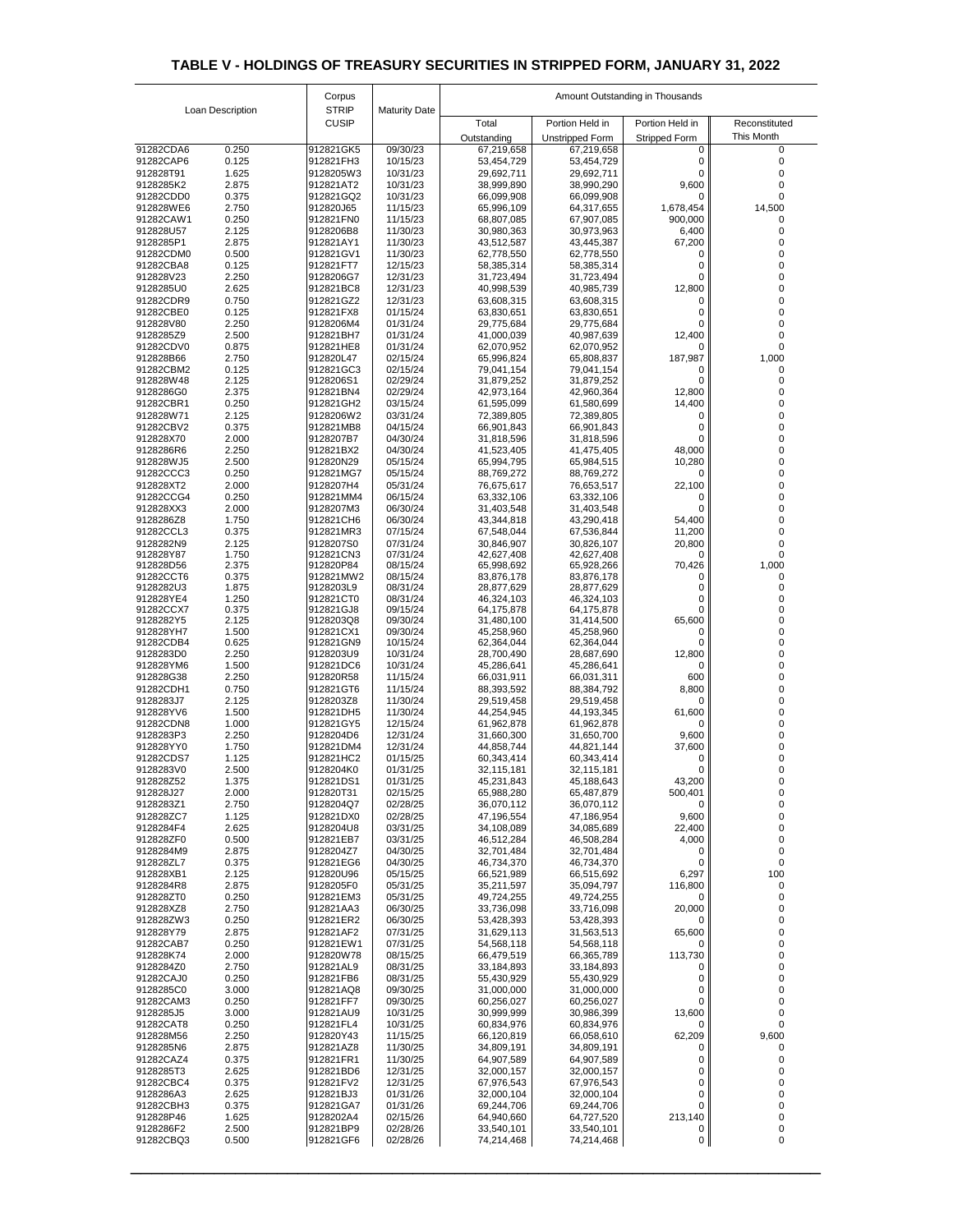|                        |                  | Corpus                 |                      | Amount Outstanding in Thousands |                               |                           |                             |
|------------------------|------------------|------------------------|----------------------|---------------------------------|-------------------------------|---------------------------|-----------------------------|
|                        | Loan Description | <b>STRIP</b>           | <b>Maturity Date</b> |                                 |                               |                           |                             |
|                        |                  | <b>CUSIP</b>           |                      | Total                           | Portion Held in               | Portion Held in           | Reconstituted<br>This Month |
| 91282CDA6              | 0.250            | 912821GK5              | 09/30/23             | Outstanding<br>67,219,658       | Unstripped Form<br>67,219,658 | <b>Stripped Form</b><br>0 |                             |
| 91282CAP6              | 0.125            | 912821FH3              | 10/15/23             | 53,454,729                      | 53,454,729                    | 0                         |                             |
| 912828T91              | 1.625            | 9128205W3              | 10/31/23             | 29,692,711                      | 29,692,711                    | 0                         |                             |
| 9128285K2<br>91282CDD0 | 2.875<br>0.375   | 912821AT2<br>912821GQ2 | 10/31/23<br>10/31/23 | 38,999,890<br>66,099,908        | 38,990,290<br>66,099,908      | 9,600<br>0                |                             |
| 912828WE6              | 2.750            | 912820J65              | 11/15/23             | 65,996,109                      | 64,317,655                    | 1,678,454                 | 14,500                      |
| 91282CAW1              | 0.250            | 912821FN0              | 11/15/23             | 68,807,085                      | 67,907,085                    | 900,000                   |                             |
| 912828U57<br>9128285P1 | 2.125<br>2.875   | 9128206B8<br>912821AY1 | 11/30/23<br>11/30/23 | 30,980,363<br>43,512,587        | 30,973,963                    | 6,400<br>67,200           |                             |
| 91282CDM0              | 0.500            | 912821GV1              | 11/30/23             | 62,778,550                      | 43,445,387<br>62,778,550      |                           |                             |
| 91282CBA8              | 0.125            | 912821FT7              | 12/15/23             | 58,385,314                      | 58,385,314                    |                           |                             |
| 912828V23              | 2.250            | 9128206G7              | 12/31/23             | 31,723,494                      | 31,723,494                    | O                         |                             |
| 9128285U0<br>91282CDR9 | 2.625<br>0.750   | 912821BC8<br>912821GZ2 | 12/31/23<br>12/31/23 | 40,998,539<br>63,608,315        | 40,985,739<br>63,608,315      | 12,800<br>$\Omega$        |                             |
| 91282CBE0              | 0.125            | 912821FX8              | 01/15/24             | 63,830,651                      | 63,830,651                    | 0                         |                             |
| 912828V80              | 2.250            | 9128206M4              | 01/31/24             | 29,775,684                      | 29,775,684                    | 0                         |                             |
| 9128285Z9<br>91282CDV0 | 2.500<br>0.875   | 912821BH7<br>912821HE8 | 01/31/24<br>01/31/24 | 41,000,039<br>62,070,952        | 40,987,639<br>62,070,952      | 12,400<br>0               |                             |
| 912828B66              | 2.750            | 912820L47              | 02/15/24             | 65,996,824                      | 65,808,837                    | 187,987                   | 1,000                       |
| 91282CBM2              | 0.125            | 912821GC3              | 02/15/24             | 79,041,154                      | 79,041,154                    | 0                         |                             |
| 912828W48<br>9128286G0 | 2.125<br>2.375   | 9128206S1<br>912821BN4 | 02/29/24<br>02/29/24 | 31,879,252<br>42,973,164        | 31,879,252<br>42,960,364      | $\mathbf{0}$<br>12,800    |                             |
| 91282CBR1              | 0.250            | 912821GH2              | 03/15/24             | 61,595,099                      | 61,580,699                    | 14,400                    |                             |
| 912828W71              | 2.125            | 9128206W2              | 03/31/24             | 72,389,805                      | 72,389,805                    |                           |                             |
| 91282CBV2<br>912828X70 | 0.375<br>2.000   | 912821MB8              | 04/15/24<br>04/30/24 | 66,901,843                      | 66,901,843<br>31,818,596      |                           |                             |
| 9128286R6              | 2.250            | 9128207B7<br>912821BX2 | 04/30/24             | 31,818,596<br>41,523,405        | 41,475,405                    | $\Omega$<br>48,000        | 0                           |
| 912828WJ5              | 2.500            | 912820N29              | 05/15/24             | 65,994,795                      | 65,984,515                    | 10,280                    |                             |
| 91282CCC3              | 0.250            | 912821MG7              | 05/15/24             | 88,769,272                      | 88,769,272                    | 0                         |                             |
| 912828XT2<br>91282CCG4 | 2.000<br>0.250   | 9128207H4<br>912821MM4 | 05/31/24<br>06/15/24 | 76,675,617<br>63,332,106        | 76,653,517<br>63,332,106      | 22,100                    |                             |
| 912828XX3              | 2.000            | 9128207M3              | 06/30/24             | 31,403,548                      | 31,403,548                    |                           |                             |
| 9128286Z8              | 1.750            | 912821CH6              | 06/30/24             | 43,344,818                      | 43,290,418                    | 54,400                    |                             |
| 91282CCL3<br>9128282N9 | 0.375<br>2.125   | 912821MR3<br>9128207S0 | 07/15/24<br>07/31/24 | 67,548,044                      | 67,536,844                    | 11,200                    |                             |
| 912828Y87              | 1.750            | 912821CN3              | 07/31/24             | 30,846,907<br>42,627,408        | 30,826,107<br>42,627,408      | 20,800<br>0               |                             |
| 912828D56              | 2.375            | 912820P84              | 08/15/24             | 65,998,692                      | 65,928,266                    | 70,426                    | 1,000                       |
| 91282CCT6<br>9128282U3 | 0.375<br>1.875   | 912821MW2<br>9128203L9 | 08/15/24<br>08/31/24 | 83,876,178<br>28,877,629        | 83,876,178<br>28,877,629      |                           |                             |
| 912828YE4              | 1.250            | 912821CT0              | 08/31/24             | 46,324,103                      | 46,324,103                    |                           |                             |
| 91282CCX7              | 0.375            | 912821GJ8              | 09/15/24             | 64,175,878                      | 64,175,878                    |                           |                             |
| 9128282Y5<br>912828YH7 | 2.125<br>1.500   | 9128203Q8<br>912821CX1 | 09/30/24<br>09/30/24 | 31,480,100<br>45,258,960        | 31,414,500<br>45,258,960      | 65,600<br>$\mathbf{0}$    |                             |
| 91282CDB4              | 0.625            | 912821GN9              | 10/15/24             | 62,364,044                      | 62,364,044                    | $\Omega$                  |                             |
| 9128283D0              | 2.250            | 9128203U9              | 10/31/24             | 28,700,490                      | 28,687,690                    | 12,800                    |                             |
| 912828YM6<br>912828G38 | 1.500<br>2.250   | 912821DC6<br>912820R58 | 10/31/24<br>11/15/24 | 45,286,641<br>66,031,911        | 45,286,641<br>66,031,311      | 0<br>600                  |                             |
| 91282CDH1              | 0.750            | 912821GT6              | 11/15/24             | 88,393,592                      | 88,384,792                    | 8,800                     |                             |
| 9128283J7              | 2.125            | 9128203Z8              | 11/30/24             | 29,519,458                      | 29,519,458                    | $\Omega$                  |                             |
| 912828YV6<br>91282CDN8 | 1.500            | 912821DH5<br>912821GY5 | 11/30/24             | 44,254,945                      | 44,193,345                    | 61,600                    |                             |
| 9128283P3              | 1.000<br>2.250   | 9128204D6              | 12/15/24<br>12/31/24 | 61,962,878<br>31,660,300        | 61,962,878<br>31,650,700      | $\Omega$<br>9,600         |                             |
| 912828YY0              | 1.750            | 912821DM4              | 12/31/24             | 44,858,744                      | 44,821,144                    | 37,600                    |                             |
| 91282CDS7              | 1.125            | 912821HC2              | 01/15/25             | 60,343,414                      | 60,343,414                    | $\Omega$                  |                             |
| 9128283V0<br>912828Z52 | 2.500<br>1.375   | 9128204K0<br>912821DS1 | 01/31/25<br>01/31/25 | 32,115,181<br>45,231,843        | 32,115,181<br>45,188,643      | $\Omega$<br>43,200        |                             |
| 912828J27              | 2.000            | 912820T31              | 02/15/25             | 65,988,280                      | 65,487,879                    | 500,401                   |                             |
| 9128283Z1              | 2.750            | 9128204Q7              | 02/28/25             | 36,070,112                      | 36,070,112                    | 0                         |                             |
| 912828ZC7<br>9128284F4 | 1.125<br>2.625   | 912821DX0<br>9128204U8 | 02/28/25<br>03/31/25 | 47,196,554<br>34,108,089        | 47,186,954<br>34,085,689      | 9,600<br>22,400           |                             |
| 912828ZF0              | 0.500            | 912821EB7              | 03/31/25             | 46,512,284                      | 46,508,284                    | 4,000                     |                             |
| 9128284M9              | 2.875            | 9128204Z7              | 04/30/25             | 32,701,484                      | 32,701,484                    | $\Omega$                  |                             |
| 912828ZL7<br>912828XB1 | 0.375<br>2.125   | 912821EG6<br>912820U96 | 04/30/25<br>05/15/25 | 46,734,370<br>66,521,989        | 46,734,370<br>66,515,692      | 0<br>6,297                | 100                         |
| 9128284R8              | 2.875            | 9128205F0              | 05/31/25             | 35,211,597                      | 35,094,797                    | 116,800                   |                             |
| 912828ZT0              | 0.250            | 912821EM3              | 05/31/25             | 49,724,255                      | 49,724,255                    | $\Omega$                  |                             |
| 912828XZ8<br>912828ZW3 | 2.750<br>0.250   | 912821AA3<br>912821ER2 | 06/30/25<br>06/30/25 | 33,736,098<br>53,428,393        | 33,716,098<br>53,428,393      | 20,000<br>$\Omega$        |                             |
| 912828Y79              | 2.875            | 912821AF2              | 07/31/25             | 31,629,113                      | 31,563,513                    | 65,600                    |                             |
| 91282CAB7              | 0.250            | 912821EW1              | 07/31/25             | 54,568,118                      | 54,568,118                    | 0                         |                             |
| 912828K74<br>9128284Z0 | 2.000            | 912820W78              | 08/15/25             | 66,479,519                      | 66,365,789                    | 113,730                   |                             |
| 91282CAJ0              | 2.750<br>0.250   | 912821AL9<br>912821FB6 | 08/31/25<br>08/31/25 | 33,184,893<br>55,430,929        | 33,184,893<br>55,430,929      | $\Omega$<br>$\Omega$      |                             |
| 9128285C0              | 3.000            | 912821AQ8              | 09/30/25             | 31,000,000                      | 31,000,000                    | 0                         |                             |
| 91282CAM3              | 0.250            | 912821FF7              | 09/30/25             | 60,256,027                      | 60,256,027                    | 0                         |                             |
| 9128285J5<br>91282CAT8 | 3.000<br>0.250   | 912821AU9<br>912821FL4 | 10/31/25<br>10/31/25 | 30,999,999<br>60,834,976        | 30,986,399<br>60,834,976      | 13,600<br>0               |                             |
| 912828M56              | 2.250            | 912820Y43              | 11/15/25             | 66,120,819                      | 66,058,610                    | 62,209                    | 9,600                       |
| 9128285N6              | 2.875            | 912821AZ8              | 11/30/25             | 34,809,191                      | 34,809,191                    | 0                         |                             |
| 91282CAZ4<br>9128285T3 | 0.375<br>2.625   | 912821FR1<br>912821BD6 | 11/30/25<br>12/31/25 | 64,907,589<br>32,000,157        | 64,907,589<br>32,000,157      | 0                         |                             |
| 91282CBC4              | 0.375            | 912821FV2              | 12/31/25             | 67,976,543                      | 67,976,543                    | 0                         |                             |
| 9128286A3              | 2.625            | 912821BJ3              | 01/31/26             | 32,000,104                      | 32,000,104                    | 0                         |                             |
| 91282CBH3<br>912828P46 | 0.375<br>1.625   | 912821GA7<br>9128202A4 | 01/31/26<br>02/15/26 | 69,244,706<br>64,940,660        | 69,244,706<br>64,727,520      | 0<br>213,140              |                             |
| 9128286F2              | 2.500            | 912821BP9              | 02/28/26             | 33,540,101                      | 33,540,101                    | Ü                         |                             |
| 91282CBQ3              | 0.500            | 912821GF6              | 02/28/26             | 74,214,468                      | 74,214,468                    | 0                         | 0                           |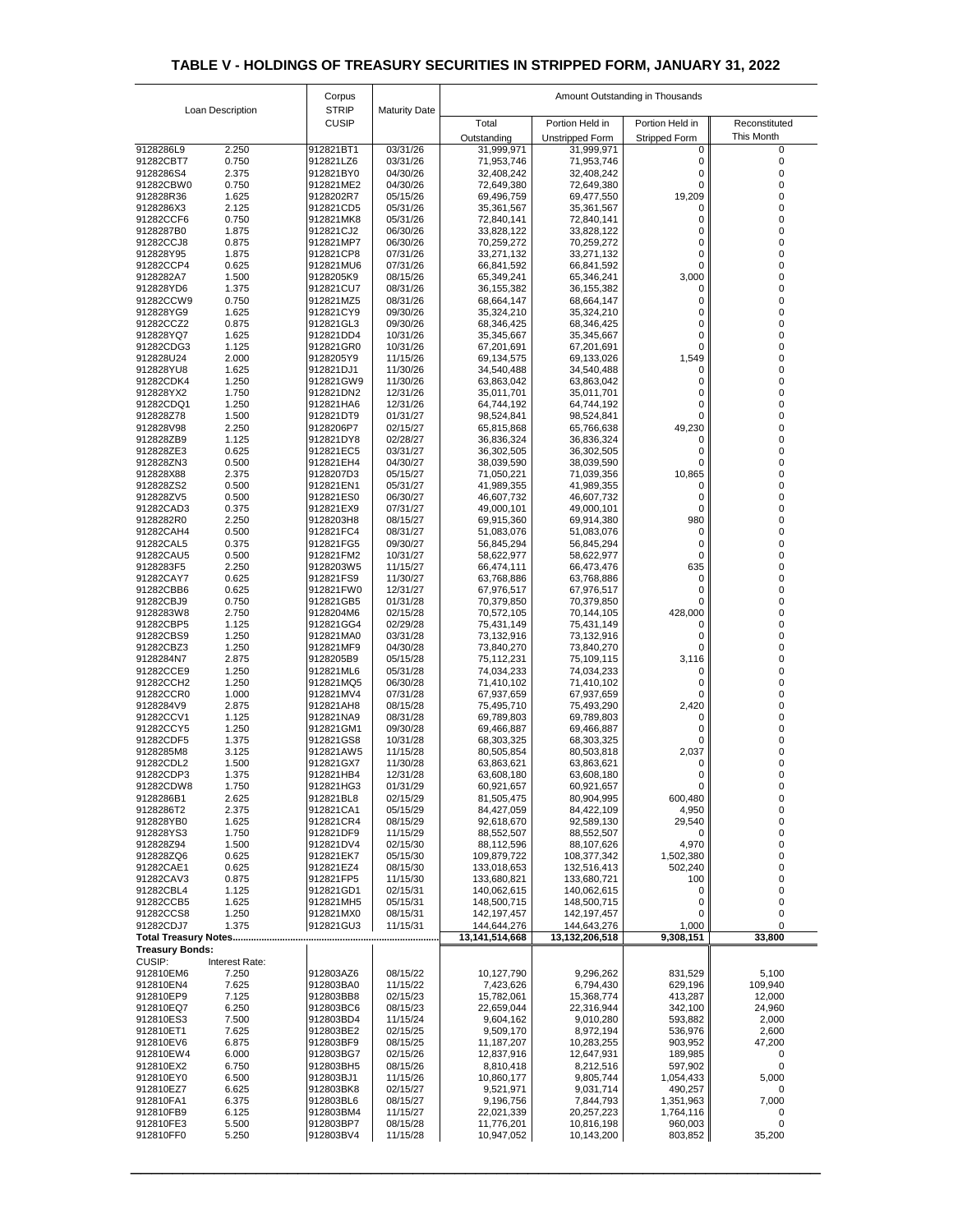|                                                       |                  | Corpus                       |                      | Amount Outstanding in Thousands |                            |                           |                 |
|-------------------------------------------------------|------------------|------------------------------|----------------------|---------------------------------|----------------------------|---------------------------|-----------------|
|                                                       | Loan Description | <b>STRIP</b><br><b>CUSIP</b> | <b>Maturity Date</b> | Total                           | Portion Held in            | Portion Held in           | Reconstituted   |
|                                                       |                  |                              |                      | Outstanding                     | <b>Unstripped Form</b>     |                           | This Month      |
| 9128286L9                                             | 2.250            | 912821BT1                    | 03/31/26             | 31,999,971                      | 31,999,971                 | <b>Stripped Form</b><br>0 | 0               |
| 91282CBT7                                             | 0.750            | 912821LZ6                    | 03/31/26             | 71,953,746                      | 71,953,746                 |                           | $\Omega$        |
| 9128286S4                                             | 2.375            | 912821BY0                    | 04/30/26             | 32,408,242                      | 32,408,242                 |                           |                 |
| 91282CBW0                                             | 0.750            | 912821ME2                    | 04/30/26             | 72,649,380                      | 72,649,380                 |                           |                 |
| 912828R36<br>9128286X3                                | 1.625<br>2.125   | 9128202R7<br>912821CD5       | 05/15/26<br>05/31/26 | 69,496,759<br>35,361,567        | 69,477,550<br>35,361,567   | 19,209                    |                 |
| 91282CCF6                                             | 0.750            | 912821MK8                    | 05/31/26             | 72,840,141                      | 72,840,141                 |                           |                 |
| 9128287B0                                             | 1.875            | 912821CJ2                    | 06/30/26             | 33,828,122                      | 33,828,122                 |                           |                 |
| 91282CCJ8                                             | 0.875            | 912821MP7                    | 06/30/26             | 70,259,272                      | 70,259,272                 | 0                         |                 |
| 912828Y95<br>91282CCP4                                | 1.875<br>0.625   | 912821CP8<br>912821MU6       | 07/31/26<br>07/31/26 | 33,271,132<br>66,841,592        | 33,271,132<br>66,841,592   | 0<br>0                    |                 |
| 9128282A7                                             | 1.500            | 9128205K9                    | 08/15/26             | 65,349,241                      | 65,346,241                 | 3,000                     |                 |
| 912828YD6                                             | 1.375            | 912821CU7                    | 08/31/26             | 36, 155, 382                    | 36, 155, 382               |                           |                 |
| 91282CCW9                                             | 0.750            | 912821MZ5                    | 08/31/26             | 68,664,147                      | 68,664,147                 |                           |                 |
| 912828YG9<br>91282CCZ2                                | 1.625<br>0.875   | 912821CY9<br>912821GL3       | 09/30/26<br>09/30/26 | 35,324,210<br>68,346,425        | 35,324,210<br>68,346,425   | 0<br>0                    |                 |
| 912828YQ7                                             | 1.625            | 912821DD4                    | 10/31/26             | 35,345,667                      | 35,345,667                 | 0                         |                 |
| 91282CDG3                                             | 1.125            | 912821GR0                    | 10/31/26             | 67,201,691                      | 67,201,691                 | 0                         |                 |
| 912828U24                                             | 2.000            | 9128205Y9                    | 11/15/26             | 69,134,575                      | 69,133,026                 | 1,549                     |                 |
| 912828YU8                                             | 1.625            | 912821DJ1                    | 11/30/26             | 34,540,488                      | 34,540,488                 | 0                         | 0               |
| 91282CDK4<br>912828YX2                                | 1.250<br>1.750   | 912821GW9<br>912821DN2       | 11/30/26<br>12/31/26 | 63,863,042<br>35,011,701        | 63,863,042<br>35,011,701   | 0                         |                 |
| 91282CDQ1                                             | 1.250            | 912821HA6                    | 12/31/26             | 64,744,192                      | 64,744,192                 | 0                         |                 |
| 912828Z78                                             | 1.500            | 912821DT9                    | 01/31/27             | 98,524,841                      | 98,524,841                 |                           |                 |
| 912828V98                                             | 2.250            | 9128206P7                    | 02/15/27             | 65,815,868                      | 65,766,638                 | 49,230                    |                 |
| 912828ZB9<br>912828ZE3                                | 1.125<br>0.625   | 912821DY8<br>912821EC5       | 02/28/27<br>03/31/27 | 36,836,324<br>36,302,505        | 36,836,324<br>36,302,505   | 0                         |                 |
| 912828ZN3                                             | 0.500            | 912821EH4                    | 04/30/27             | 38,039,590                      | 38,039,590                 | U<br>0                    |                 |
| 912828X88                                             | 2.375            | 9128207D3                    | 05/15/27             | 71,050,221                      | 71,039,356                 | 10,865                    |                 |
| 912828ZS2                                             | 0.500            | 912821EN1                    | 05/31/27             | 41,989,355                      | 41,989,355                 | 0                         |                 |
| 912828ZV5                                             | 0.500            | 912821ES0                    | 06/30/27             | 46,607,732                      | 46,607,732                 | 0                         |                 |
| 91282CAD3<br>9128282R0                                | 0.375<br>2.250   | 912821EX9<br>9128203H8       | 07/31/27<br>08/15/27 | 49,000,101<br>69,915,360        | 49,000,101<br>69,914,380   | 0<br>980                  |                 |
| 91282CAH4                                             | 0.500            | 912821FC4                    | 08/31/27             | 51,083,076                      | 51,083,076                 | 0                         |                 |
| 91282CAL5                                             | 0.375            | 912821FG5                    | 09/30/27             | 56,845,294                      | 56,845,294                 |                           |                 |
| 91282CAU5                                             | 0.500            | 912821FM2                    | 10/31/27             | 58,622,977                      | 58,622,977                 | 0                         |                 |
| 9128283F5                                             | 2.250            | 9128203W5                    | 11/15/27             | 66,474,111                      | 66,473,476                 | 635                       |                 |
| 91282CAY7<br>91282CBB6                                | 0.625<br>0.625   | 912821FS9<br>912821FW0       | 11/30/27<br>12/31/27 | 63,768,886<br>67,976,517        | 63,768,886<br>67,976,517   | 0                         |                 |
| 91282CBJ9                                             | 0.750            | 912821GB5                    | 01/31/28             | 70,379,850                      | 70,379,850                 |                           |                 |
| 9128283W8                                             | 2.750            | 9128204M6                    | 02/15/28             | 70,572,105                      | 70,144,105                 | 428,000                   |                 |
| 91282CBP5                                             | 1.125            | 912821GG4                    | 02/29/28             | 75,431,149                      | 75,431,149                 |                           |                 |
| 91282CBS9<br>91282CBZ3                                | 1.250<br>1.250   | 912821MA0<br>912821MF9       | 03/31/28<br>04/30/28 | 73,132,916<br>73,840,270        | 73,132,916<br>73,840,270   |                           |                 |
| 9128284N7                                             | 2.875            | 9128205B9                    | 05/15/28             | 75,112,231                      | 75,109,115                 | 3,116                     |                 |
| 91282CCE9                                             | 1.250            | 912821ML6                    | 05/31/28             | 74,034,233                      | 74,034,233                 | 0                         |                 |
| 91282CCH2                                             | 1.250            | 912821MQ5                    | 06/30/28             | 71,410,102                      | 71,410,102                 |                           |                 |
| 91282CCR0<br>9128284V9                                | 1.000<br>2.875   | 912821MV4<br>912821AH8       | 07/31/28<br>08/15/28 | 67,937,659                      | 67,937,659                 |                           |                 |
| 91282CCV1                                             | 1.125            | 912821NA9                    | 08/31/28             | 75,495,710<br>69,789,803        | 75,493,290<br>69,789,803   | 2,420<br>0                |                 |
| 91282CCY5                                             | 1.250            | 912821GM1                    | 09/30/28             | 69,466,887                      | 69,466,887                 |                           |                 |
| 91282CDF5                                             | 1.375            | 912821GS8                    | 10/31/28             | 68,303,325                      | 68,303,325                 |                           |                 |
| 9128285M8                                             | 3.125            | 912821AW5                    | 11/15/28             | 80,505,854                      | 80,503,818                 | 2,037                     |                 |
| 91282CDL2<br>91282CDP3                                | 1.500<br>1.375   | 912821GX7<br>912821HB4       | 11/30/28<br>12/31/28 | 63,863,621<br>63,608,180        | 63,863,621<br>63,608,180   | 0                         |                 |
| 91282CDW8                                             | 1.750            | 912821HG3                    | 01/31/29             | 60,921,657                      | 60,921,657                 |                           |                 |
| 9128286B1                                             | 2.625            | 912821BL8                    | 02/15/29             | 81,505,475                      | 80,904,995                 | 600,480                   |                 |
| 9128286T2                                             | 2.375            | 912821CA1                    | 05/15/29             | 84,427,059                      | 84,422,109                 | 4,950                     |                 |
| 912828YB0<br>912828YS3                                | 1.625<br>1.750   | 912821CR4<br>912821DF9       | 08/15/29<br>11/15/29 | 92,618,670<br>88,552,507        | 92,589,130<br>88,552,507   | 29,540<br>0               | 0<br>0          |
| 912828Z94                                             | 1.500            | 912821DV4                    | 02/15/30             | 88,112,596                      | 88,107,626                 | 4,970                     | 0               |
| 912828ZQ6                                             | 0.625            | 912821EK7                    | 05/15/30             | 109,879,722                     | 108,377,342                | 1,502,380                 |                 |
| 91282CAE1                                             | 0.625            | 912821EZ4                    | 08/15/30             | 133,018,653                     | 132,516,413                | 502,240                   |                 |
| 91282CAV3<br>91282CBL4                                | 0.875<br>1.125   | 912821FP5<br>912821GD1       | 11/15/30<br>02/15/31 | 133,680,821<br>140,062,615      | 133,680,721<br>140,062,615 | 100<br>0                  | 0               |
| 91282CCB5                                             | 1.625            | 912821MH5                    | 05/15/31             | 148,500,715                     | 148,500,715                | 0                         |                 |
| 91282CCS8                                             | 1.250            | 912821MX0                    | 08/15/31             | 142,197,457                     | 142,197,457                | $\Omega$                  | 0               |
| 91282CDJ7                                             | 1.375            | 912821GU3                    | 11/15/31             | 144,644,276                     | 144,643,276                | 1,000                     |                 |
| <b>Total Treasury Notes</b><br><b>Treasury Bonds:</b> |                  |                              |                      | 13,141,514,668                  | 13,132,206,518             | 9,308,151                 | 33,800          |
| <b>CUSIP:</b><br>Interest Rate:                       |                  |                              |                      |                                 |                            |                           |                 |
| 912810EM6                                             | 7.250            | 912803AZ6                    | 08/15/22             | 10,127,790                      | 9,296,262                  | 831,529                   | 5,100           |
| 912810EN4                                             | 7.625            | 912803BA0                    | 11/15/22             | 7,423,626                       | 6,794,430                  | 629,196                   | 109,940         |
| 912810EP9                                             | 7.125            | 912803BB8                    | 02/15/23             | 15,782,061                      | 15,368,774                 | 413,287                   | 12,000          |
| 912810EQ7<br>912810ES3                                | 6.250<br>7.500   | 912803BC6<br>912803BD4       | 08/15/23<br>11/15/24 | 22,659,044<br>9,604,162         | 22,316,944<br>9,010,280    | 342,100<br>593,882        | 24,960<br>2,000 |
| 912810ET1                                             | 7.625            | 912803BE2                    | 02/15/25             | 9,509,170                       | 8,972,194                  | 536,976                   | 2,600           |
| 912810EV6                                             | 6.875            | 912803BF9                    | 08/15/25             | 11,187,207                      | 10,283,255                 | 903,952                   | 47,200          |
| 912810EW4                                             | 6.000            | 912803BG7                    | 02/15/26             | 12,837,916                      | 12,647,931                 | 189,985                   | 0               |
| 912810EX2<br>912810EY0                                | 6.750<br>6.500   | 912803BH5<br>912803BJ1       | 08/15/26<br>11/15/26 | 8,810,418<br>10,860,177         | 8,212,516<br>9,805,744     | 597,902<br>1,054,433      | 5,000           |
| 912810EZ7                                             | 6.625            | 912803BK8                    | 02/15/27             | 9,521,971                       | 9,031,714                  | 490,257                   | 0               |
| 912810FA1                                             | 6.375            | 912803BL6                    | 08/15/27             | 9,196,756                       | 7,844,793                  | 1,351,963                 | 7,000           |
| 912810FB9                                             | 6.125            | 912803BM4                    | 11/15/27             | 22,021,339                      | 20,257,223                 | 1,764,116                 | 0               |
| 912810FE3                                             | 5.500            | 912803BP7                    | 08/15/28             | 11,776,201                      | 10,816,198                 | 960,003                   | 0               |
| 912810FF0                                             | 5.250            | 912803BV4                    | 11/15/28             | 10,947,052                      | 10,143,200                 | 803,852                   | 35,200          |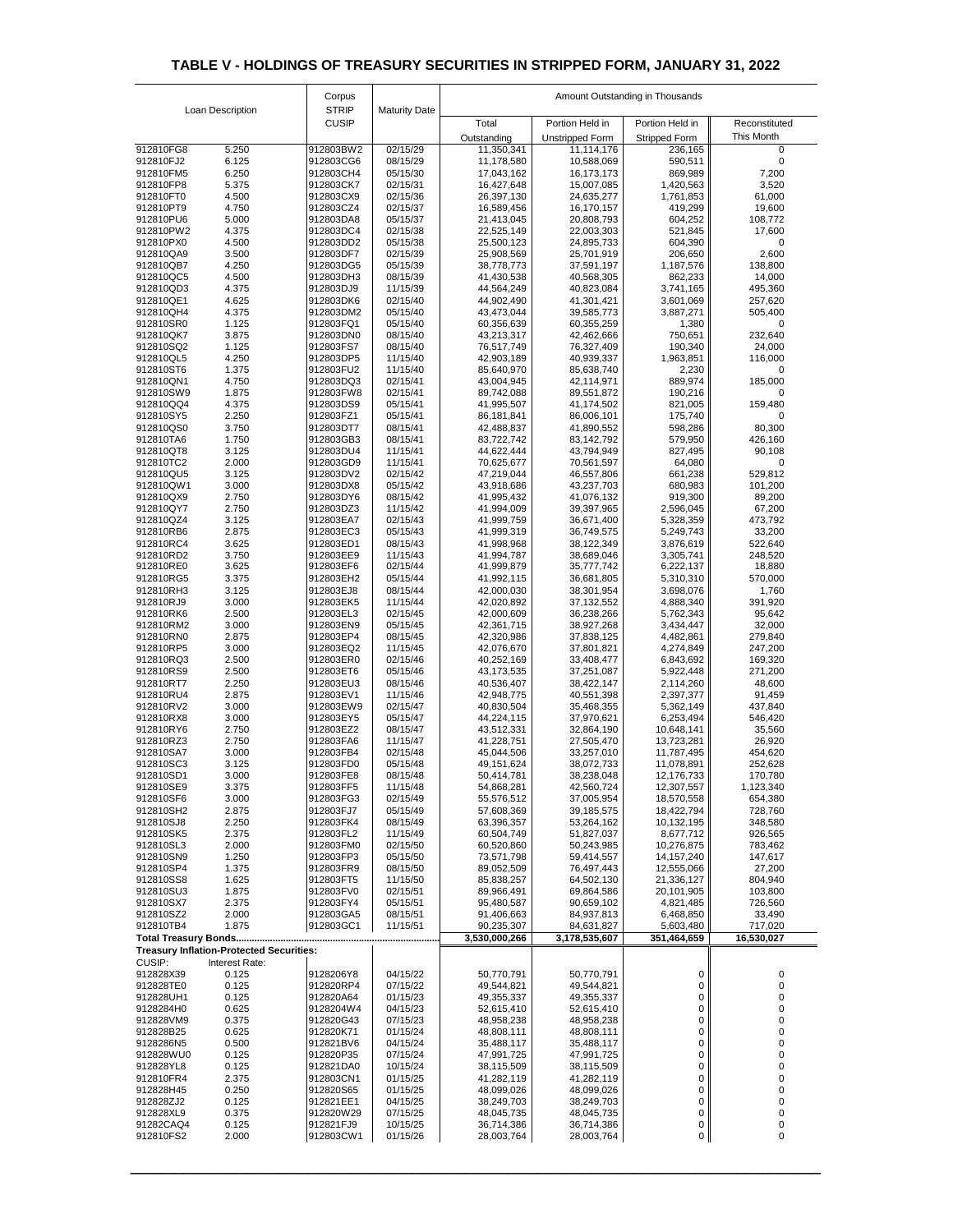|                        |                                                                   | Corpus                       |                      | Amount Outstanding in Thousands |                            |                            |                    |  |
|------------------------|-------------------------------------------------------------------|------------------------------|----------------------|---------------------------------|----------------------------|----------------------------|--------------------|--|
|                        | Loan Description                                                  | <b>STRIP</b><br><b>CUSIP</b> | <b>Maturity Date</b> | Total                           | Portion Held in            | Portion Held in            | Reconstituted      |  |
|                        |                                                                   |                              |                      | Outstanding                     | <b>Unstripped Form</b>     | <b>Stripped Form</b>       | This Month         |  |
| 912810FG8              | 5.250                                                             | 912803BW2                    | 02/15/29             | 11,350,341                      | 11,114,176                 | 236,165                    | $\mathbf 0$        |  |
| 912810FJ2<br>912810FM5 | 6.125<br>6.250                                                    | 912803CG6<br>912803CH4       | 08/15/29<br>05/15/30 | 11,178,580<br>17,043,162        | 10,588,069<br>16,173,173   | 590,511<br>869,989         | $\Omega$<br>7,200  |  |
| 912810FP8              | 5.375                                                             | 912803CK7                    | 02/15/31             | 16,427,648                      | 15,007,085                 | 1,420,563                  | 3,520              |  |
| 912810FT0              | 4.500                                                             | 912803CX9                    | 02/15/36             | 26,397,130                      | 24,635,277                 | 1,761,853                  | 61,000             |  |
| 912810PT9<br>912810PU6 | 4.750<br>5.000                                                    | 912803CZ4<br>912803DA8       | 02/15/37<br>05/15/37 | 16,589,456<br>21,413,045        | 16,170,157<br>20,808,793   | 419,299<br>604,252         | 19,600<br>108,772  |  |
| 912810PW2              | 4.375                                                             | 912803DC4                    | 02/15/38             | 22,525,149                      | 22,003,303                 | 521,845                    | 17,600             |  |
| 912810PX0              | 4.500                                                             | 912803DD2                    | 05/15/38             | 25,500,123                      | 24,895,733                 | 604,390                    | $\Omega$           |  |
| 912810QA9<br>912810QB7 | 3.500<br>4.250                                                    | 912803DF7<br>912803DG5       | 02/15/39<br>05/15/39 | 25,908,569<br>38,778,773        | 25,701,919<br>37,591,197   | 206,650<br>1,187,576       | 2,600<br>138,800   |  |
| 912810QC5              | 4.500                                                             | 912803DH3                    | 08/15/39             | 41,430,538                      | 40,568,305                 | 862,233                    | 14,000             |  |
| 912810QD3              | 4.375                                                             | 912803DJ9                    | 11/15/39             | 44,564,249                      | 40,823,084                 | 3,741,165                  | 495,360            |  |
| 912810QE1<br>912810QH4 | 4.625<br>4.375                                                    | 912803DK6<br>912803DM2       | 02/15/40<br>05/15/40 | 44,902,490<br>43,473,044        | 41,301,421<br>39,585,773   | 3,601,069<br>3,887,271     | 257,620<br>505,400 |  |
| 912810SR0              | 1.125                                                             | 912803FQ1                    | 05/15/40             | 60,356,639                      | 60,355,259                 | 1,380                      | $\Omega$           |  |
| 912810QK7              | 3.875                                                             | 912803DN0                    | 08/15/40             | 43,213,317                      | 42,462,666                 | 750,651                    | 232,640            |  |
| 912810SQ2<br>912810QL5 | 1.125<br>4.250                                                    | 912803FS7<br>912803DP5       | 08/15/40<br>11/15/40 | 76,517,749<br>42,903,189        | 76,327,409<br>40,939,337   | 190,340<br>1,963,851       | 24,000<br>116,000  |  |
| 912810ST6              | 1.375                                                             | 912803FU2                    | 11/15/40             | 85,640,970                      | 85,638,740                 | 2,230                      | $\Omega$           |  |
| 912810QN1              | 4.750                                                             | 912803DQ3                    | 02/15/41             | 43,004,945                      | 42,114,971                 | 889,974                    | 185,000            |  |
| 912810SW9<br>912810QQ4 | 1.875                                                             | 912803FW8<br>912803DS9       | 02/15/41             | 89,742,088                      | 89,551,872                 | 190,216                    | $\Omega$           |  |
| 912810SY5              | 4.375<br>2.250                                                    | 912803FZ1                    | 05/15/41<br>05/15/41 | 41,995,507<br>86, 181, 841      | 41,174,502<br>86,006,101   | 821,005<br>175,740         | 159,480<br>0       |  |
| 912810QS0              | 3.750                                                             | 912803DT7                    | 08/15/41             | 42,488,837                      | 41,890,552                 | 598,286                    | 80,300             |  |
| 912810TA6              | 1.750                                                             | 912803GB3                    | 08/15/41             | 83,722,742                      | 83,142,792                 | 579,950                    | 426,160            |  |
| 912810QT8<br>912810TC2 | 3.125<br>2.000                                                    | 912803DU4<br>912803GD9       | 11/15/41<br>11/15/41 | 44,622,444<br>70,625,677        | 43,794,949<br>70,561,597   | 827,495<br>64,080          | 90,108<br>$\Omega$ |  |
| 912810QU5              | 3.125                                                             | 912803DV2                    | 02/15/42             | 47,219,044                      | 46,557,806                 | 661,238                    | 529,812            |  |
| 912810QW1              | 3.000                                                             | 912803DX8                    | 05/15/42             | 43,918,686                      | 43,237,703                 | 680,983                    | 101,200            |  |
| 912810QX9<br>912810QY7 | 2.750<br>2.750                                                    | 912803DY6<br>912803DZ3       | 08/15/42<br>11/15/42 | 41,995,432                      | 41,076,132                 | 919,300<br>2,596,045       | 89,200<br>67,200   |  |
| 912810QZ4              | 3.125                                                             | 912803EA7                    | 02/15/43             | 41,994,009<br>41,999,759        | 39,397,965<br>36,671,400   | 5,328,359                  | 473,792            |  |
| 912810RB6              | 2.875                                                             | 912803EC3                    | 05/15/43             | 41,999,319                      | 36,749,575                 | 5,249,743                  | 33,200             |  |
| 912810RC4              | 3.625                                                             | 912803ED1                    | 08/15/43             | 41,998,968                      | 38,122,349                 | 3,876,619                  | 522,640            |  |
| 912810RD2<br>912810RE0 | 3.750<br>3.625                                                    | 912803EE9<br>912803EF6       | 11/15/43<br>02/15/44 | 41,994,787<br>41,999,879        | 38,689,046<br>35,777,742   | 3,305,741<br>6,222,137     | 248,520<br>18,880  |  |
| 912810RG5              | 3.375                                                             | 912803EH2                    | 05/15/44             | 41,992,115                      | 36,681,805                 | 5,310,310                  | 570,000            |  |
| 912810RH3              | 3.125                                                             | 912803EJ8                    | 08/15/44             | 42,000,030                      | 38,301,954                 | 3,698,076                  | 1,760              |  |
| 912810RJ9<br>912810RK6 | 3.000<br>2.500                                                    | 912803EK5<br>912803EL3       | 11/15/44<br>02/15/45 | 42,020,892<br>42,000,609        | 37, 132, 552<br>36,238,266 | 4,888,340<br>5,762,343     | 391,920<br>95,642  |  |
| 912810RM2              | 3.000                                                             | 912803EN9                    | 05/15/45             | 42,361,715                      | 38,927,268                 | 3,434,447                  | 32,000             |  |
| 912810RN0              | 2.875                                                             | 912803EP4                    | 08/15/45             | 42,320,986                      | 37,838,125                 | 4,482,861                  | 279,840            |  |
| 912810RP5              | 3.000<br>2.500                                                    | 912803EQ2                    | 11/15/45             | 42,076,670                      | 37,801,821                 | 4,274,849                  | 247,200            |  |
| 912810RQ3<br>912810RS9 | 2.500                                                             | 912803ER0<br>912803ET6       | 02/15/46<br>05/15/46 | 40,252,169<br>43,173,535        | 33,408,477<br>37,251,087   | 6,843,692<br>5,922,448     | 169,320<br>271,200 |  |
| 912810RT7              | 2.250                                                             | 912803EU3                    | 08/15/46             | 40,536,407                      | 38,422,147                 | 2,114,260                  | 48,600             |  |
| 912810RU4              | 2.875                                                             | 912803EV1                    | 11/15/46             | 42,948,775                      | 40,551,398                 | 2,397,377                  | 91,459             |  |
| 912810RV2<br>912810RX8 | 3.000<br>3.000                                                    | 912803EW9<br>912803EY5       | 02/15/47<br>05/15/47 | 40,830,504<br>44,224,115        | 35,468,355<br>37,970,621   | 5,362,149<br>6,253,494     | 437,840<br>546,420 |  |
| 912810RY6              | 2.750                                                             | 912803EZ2                    | 08/15/47             | 43,512,331                      | 32,864,190                 | 10,648,141                 | 35,560             |  |
| 912810RZ3              | 2.750                                                             | 912803FA6                    | 11/15/47             | 41,228,751                      | 27,505,470                 | 13,723,281                 | 26,920             |  |
| 912810SA7<br>912810SC3 | 3.000<br>3.125                                                    | 912803FB4<br>912803FD0       | 02/15/48<br>05/15/48 | 45,044,506<br>49,151,624        | 33,257,010<br>38,072,733   | 11,787,495<br>11,078,891   | 454,620<br>252,628 |  |
| 912810SD1              | 3.000                                                             | 912803FE8                    | 08/15/48             | 50,414,781                      | 38,238,048                 | 12,176,733                 | 170,780            |  |
| 912810SE9              | 3.375                                                             | 912803FF5                    | 11/15/48             | 54,868,281                      | 42,560,724                 | 12,307,557                 | 1,123,340          |  |
| 912810SF6<br>912810SH2 | 3.000<br>2.875                                                    | 912803FG3<br>912803FJ7       | 02/15/49<br>05/15/49 | 55,576,512<br>57,608,369        | 37,005,954<br>39,185,575   | 18,570,558<br>18,422,794   | 654,380<br>728,760 |  |
| 912810SJ8              | 2.250                                                             | 912803FK4                    | 08/15/49             | 63,396,357                      | 53,264,162                 | 10,132,195                 | 348,580            |  |
| 912810SK5              | 2.375                                                             | 912803FL2                    | 11/15/49             | 60,504,749                      | 51,827,037                 | 8,677,712                  | 926,565            |  |
| 912810SL3<br>912810SN9 | 2.000<br>1.250                                                    | 912803FM0<br>912803FP3       | 02/15/50<br>05/15/50 | 60,520,860<br>73,571,798        | 50,243,985<br>59,414,557   | 10,276,875<br>14, 157, 240 | 783,462<br>147,617 |  |
| 912810SP4              | 1.375                                                             | 912803FR9                    | 08/15/50             | 89,052,509                      | 76,497,443                 | 12,555,066                 | 27,200             |  |
| 912810SS8              | 1.625                                                             | 912803FT5                    | 11/15/50             | 85,838,257                      | 64,502,130                 | 21,336,127                 | 804,940            |  |
| 912810SU3              | 1.875                                                             | 912803FV0                    | 02/15/51             | 89,966,491                      | 69,864,586                 | 20,101,905                 | 103,800            |  |
| 912810SX7<br>912810SZ2 | 2.375<br>2.000                                                    | 912803FY4<br>912803GA5       | 05/15/51<br>08/15/51 | 95,480,587<br>91,406,663        | 90,659,102<br>84,937,813   | 4,821,485<br>6,468,850     | 726,560<br>33,490  |  |
| 912810TB4              | 1.875                                                             | 912803GC1                    | 11/15/51             | 90,235,307                      | 84,631,827                 | 5,603,480                  | 717,020            |  |
|                        |                                                                   |                              |                      | 3,530,000,266                   | 3,178,535,607              | 351,464,659                | 16,530,027         |  |
| <b>CUSIP:</b>          | <b>Treasury Inflation-Protected Securities:</b><br>Interest Rate: |                              |                      |                                 |                            |                            |                    |  |
| 912828X39              | 0.125                                                             | 9128206Y8                    | 04/15/22             | 50,770,791                      | 50,770,791                 | $\mathbf 0$                | 0                  |  |
| 912828TE0              | 0.125                                                             | 912820RP4                    | 07/15/22             | 49,544,821                      | 49,544,821                 | $\mathbf 0$                |                    |  |
| 912828UH1<br>9128284H0 | 0.125<br>0.625                                                    | 912820A64<br>9128204W4       | 01/15/23<br>04/15/23 | 49,355,337<br>52,615,410        | 49,355,337<br>52,615,410   | 0<br>$\overline{0}$        |                    |  |
| 912828VM9              | 0.375                                                             | 912820G43                    | 07/15/23             | 48,958,238                      | 48,958,238                 | 0                          |                    |  |
| 912828B25              | 0.625                                                             | 912820K71                    | 01/15/24             | 48,808,111                      | 48,808,111                 | 0                          |                    |  |
| 9128286N5              | 0.500                                                             | 912821BV6                    | 04/15/24             | 35,488,117                      | 35,488,117                 | 0                          |                    |  |
| 912828WU0<br>912828YL8 | 0.125<br>0.125                                                    | 912820P35<br>912821DA0       | 07/15/24<br>10/15/24 | 47,991,725<br>38,115,509        | 47,991,725<br>38,115,509   | 0<br>$\overline{0}$        |                    |  |
| 912810FR4              | 2.375                                                             | 912803CN1                    | 01/15/25             | 41,282,119                      | 41,282,119                 | 0                          |                    |  |
| 912828H45              | 0.250                                                             | 912820S65                    | 01/15/25             | 48,099,026                      | 48,099,026                 | 0                          |                    |  |
| 912828ZJ2<br>912828XL9 | 0.125<br>0.375                                                    | 912821EE1<br>912820W29       | 04/15/25<br>07/15/25 | 38,249,703<br>48,045,735        | 38,249,703<br>48,045,735   | 0<br>0                     |                    |  |
| 91282CAQ4              | 0.125                                                             | 912821FJ9                    | 10/15/25             | 36,714,386                      | 36,714,386                 | 0                          |                    |  |
| 912810FS2              | 2.000                                                             | 912803CW1                    | 01/15/26             | 28,003,764                      | 28,003,764                 | 0                          | $\Omega$           |  |